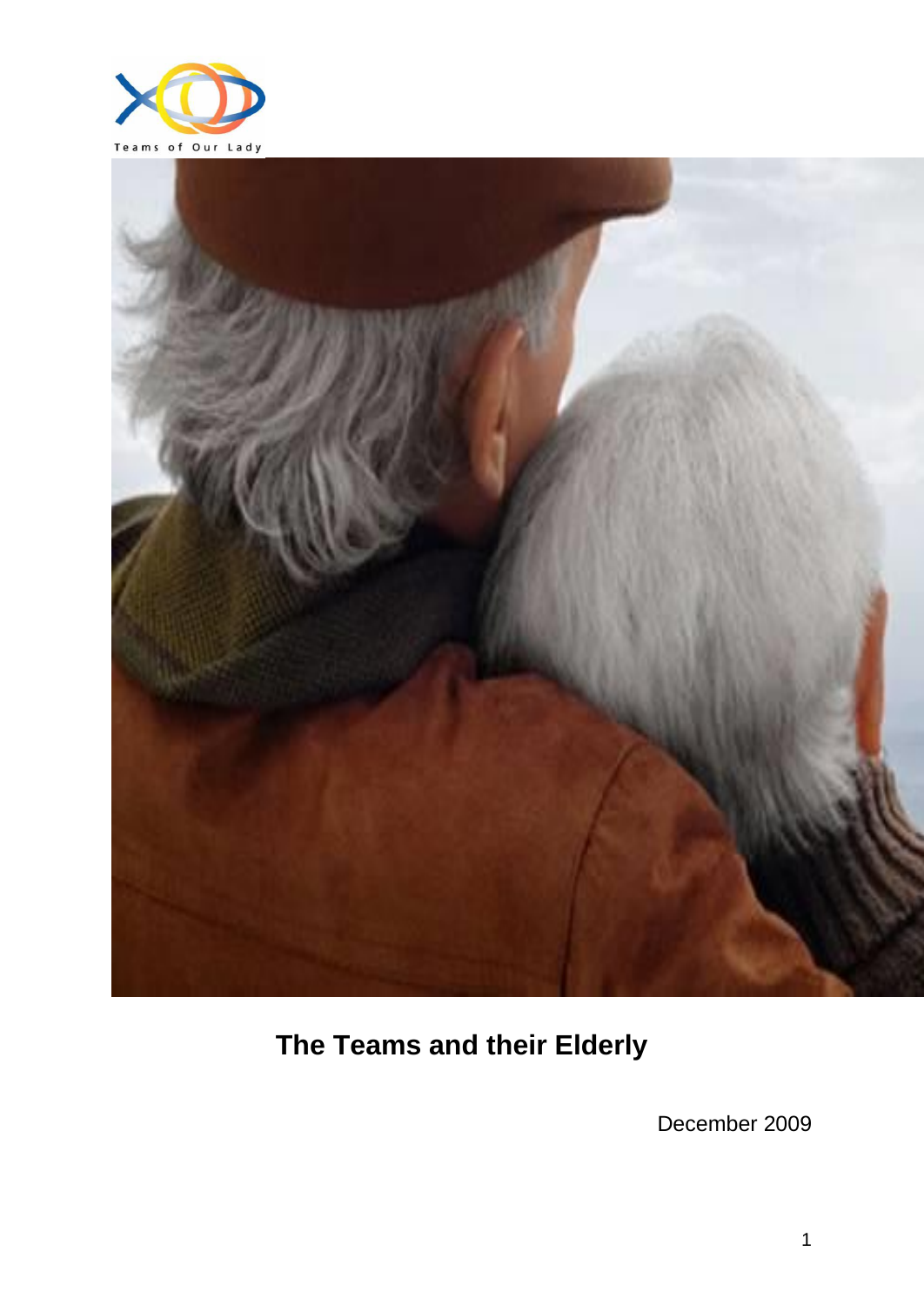



# **The Teams and their Elderly**

December 2009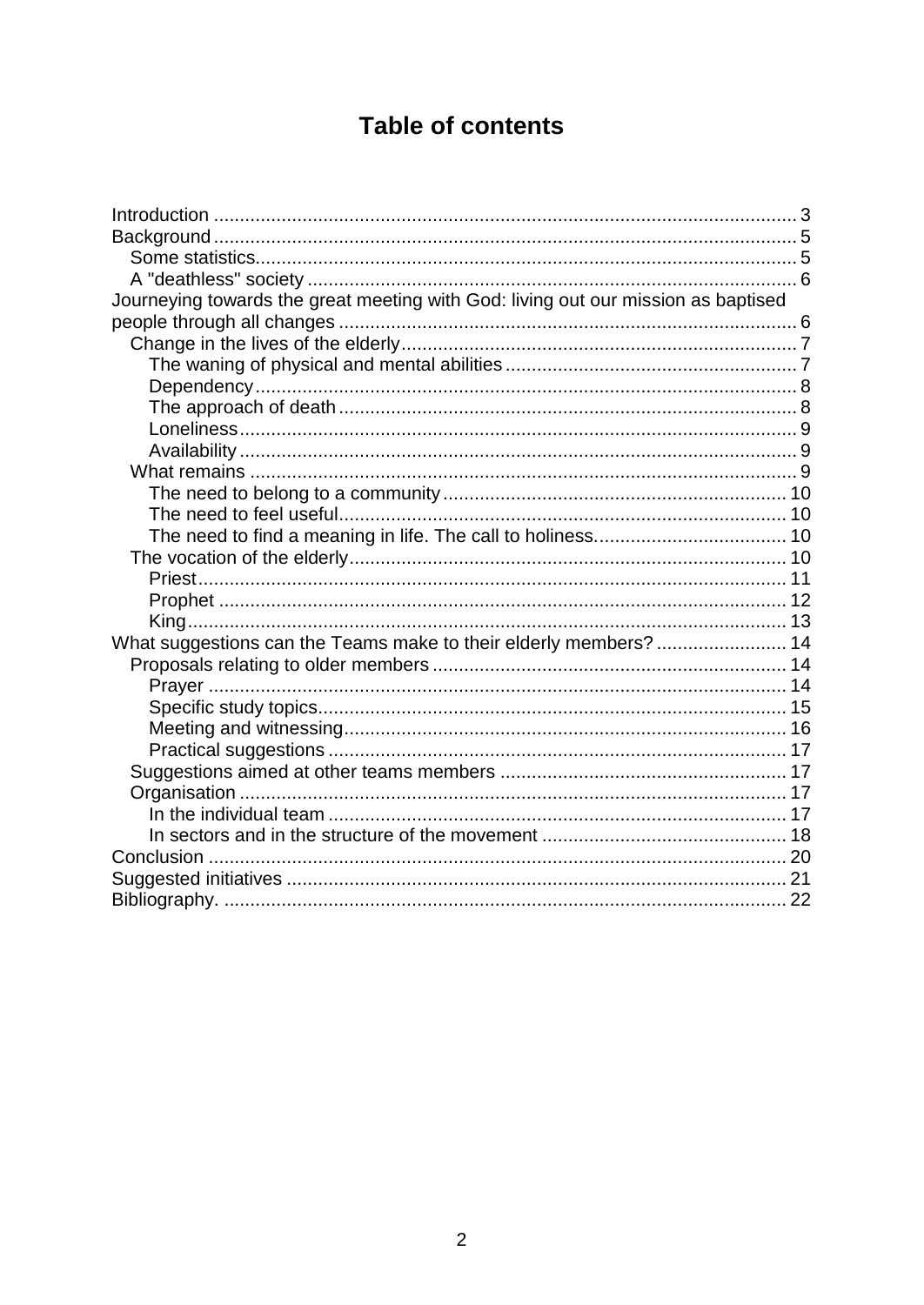## **Table of contents**

| Journeying towards the great meeting with God: living out our mission as baptised |  |
|-----------------------------------------------------------------------------------|--|
|                                                                                   |  |
|                                                                                   |  |
|                                                                                   |  |
|                                                                                   |  |
|                                                                                   |  |
|                                                                                   |  |
|                                                                                   |  |
|                                                                                   |  |
|                                                                                   |  |
|                                                                                   |  |
|                                                                                   |  |
|                                                                                   |  |
|                                                                                   |  |
|                                                                                   |  |
|                                                                                   |  |
| What suggestions can the Teams make to their elderly members?  14                 |  |
|                                                                                   |  |
|                                                                                   |  |
|                                                                                   |  |
|                                                                                   |  |
|                                                                                   |  |
|                                                                                   |  |
|                                                                                   |  |
|                                                                                   |  |
|                                                                                   |  |
|                                                                                   |  |
|                                                                                   |  |
|                                                                                   |  |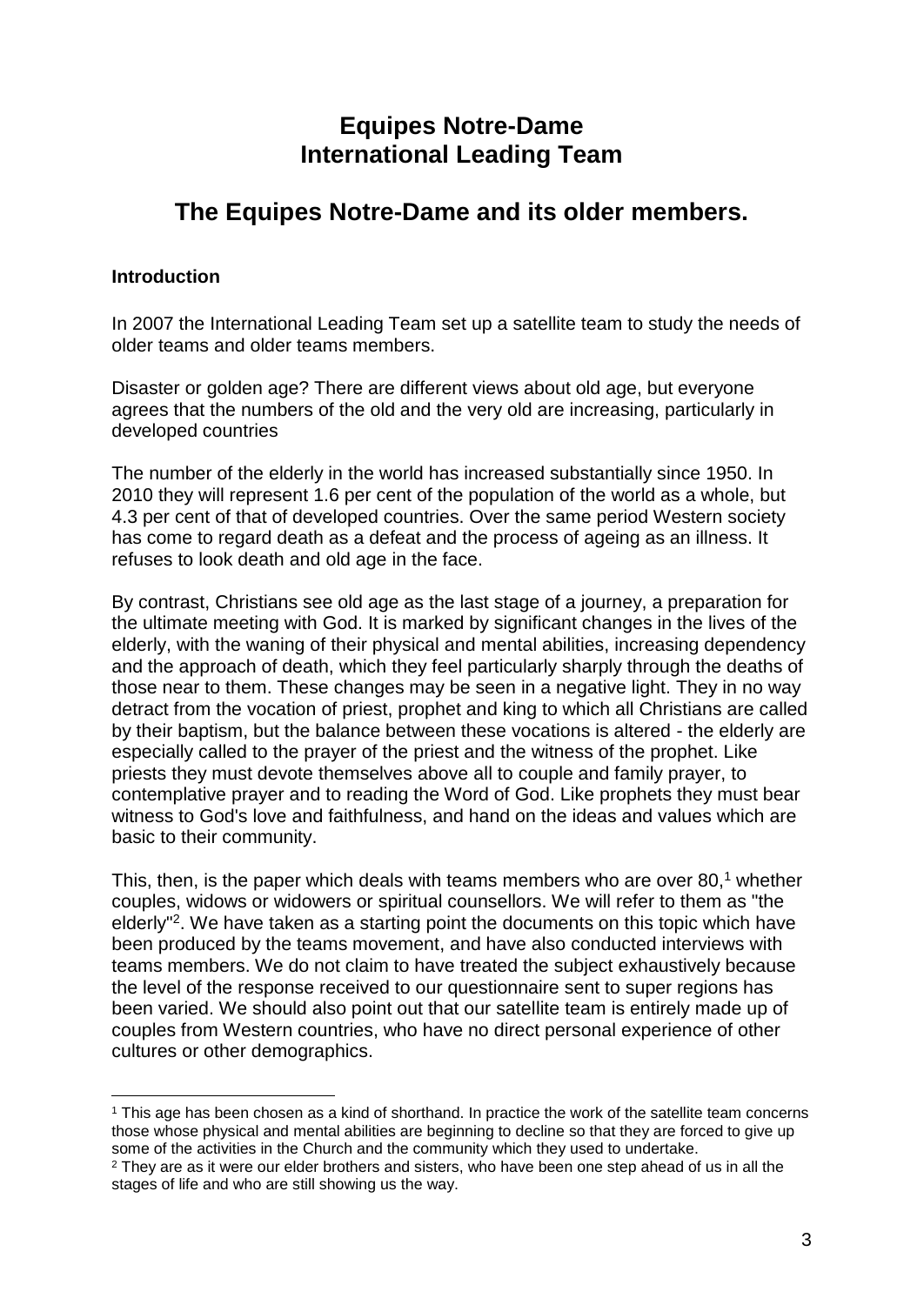## **Equipes Notre-Dame International Leading Team**

## **The Equipes Notre-Dame and its older members.**

## **Introduction**

In 2007 the International Leading Team set up a satellite team to study the needs of older teams and older teams members.

Disaster or golden age? There are different views about old age, but everyone agrees that the numbers of the old and the very old are increasing, particularly in developed countries

The number of the elderly in the world has increased substantially since 1950. In 2010 they will represent 1.6 per cent of the population of the world as a whole, but 4.3 per cent of that of developed countries. Over the same period Western society has come to regard death as a defeat and the process of ageing as an illness. It refuses to look death and old age in the face.

By contrast, Christians see old age as the last stage of a journey, a preparation for the ultimate meeting with God. It is marked by significant changes in the lives of the elderly, with the waning of their physical and mental abilities, increasing dependency and the approach of death, which they feel particularly sharply through the deaths of those near to them. These changes may be seen in a negative light. They in no way detract from the vocation of priest, prophet and king to which all Christians are called by their baptism, but the balance between these vocations is altered - the elderly are especially called to the prayer of the priest and the witness of the prophet. Like priests they must devote themselves above all to couple and family prayer, to contemplative prayer and to reading the Word of God. Like prophets they must bear witness to God's love and faithfulness, and hand on the ideas and values which are basic to their community.

This, then, is the paper which deals with teams members who are over 80, $<sup>1</sup>$  whether</sup> couples, widows or widowers or spiritual counsellors. We will refer to them as "the elderly<sup>"2</sup>. We have taken as a starting point the documents on this topic which have been produced by the teams movement, and have also conducted interviews with teams members. We do not claim to have treated the subject exhaustively because the level of the response received to our questionnaire sent to super regions has been varied. We should also point out that our satellite team is entirely made up of couples from Western countries, who have no direct personal experience of other cultures or other demographics.

<sup>1</sup> <sup>1</sup> This age has been chosen as a kind of shorthand. In practice the work of the satellite team concerns those whose physical and mental abilities are beginning to decline so that they are forced to give up some of the activities in the Church and the community which they used to undertake.

<sup>&</sup>lt;sup>2</sup> They are as it were our elder brothers and sisters, who have been one step ahead of us in all the stages of life and who are still showing us the way.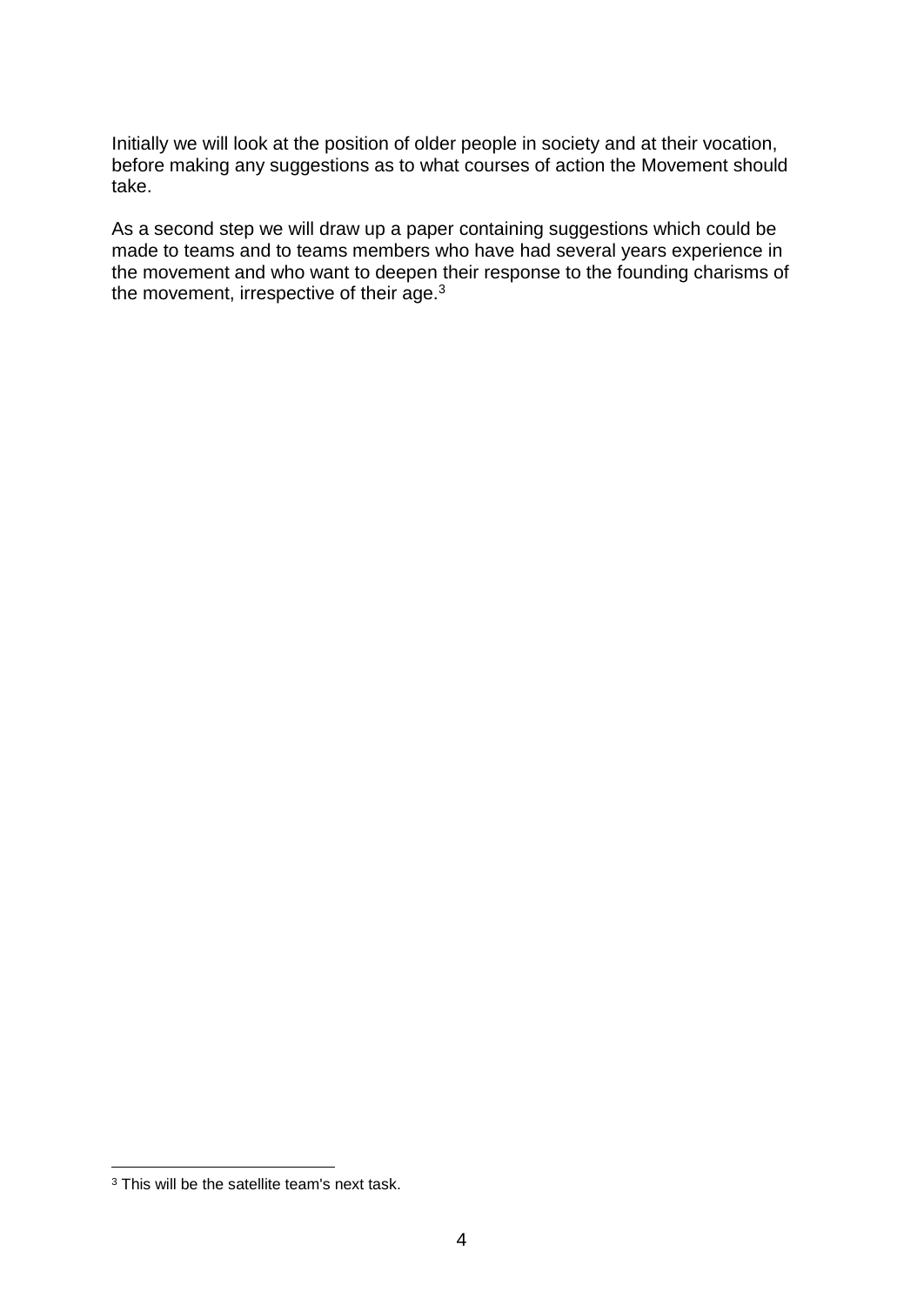Initially we will look at the position of older people in society and at their vocation, before making any suggestions as to what courses of action the Movement should take.

As a second step we will draw up a paper containing suggestions which could be made to teams and to teams members who have had several years experience in the movement and who want to deepen their response to the founding charisms of the movement, irrespective of their age.<sup>3</sup>

<sup>&</sup>lt;sup>3</sup> This will be the satellite team's next task.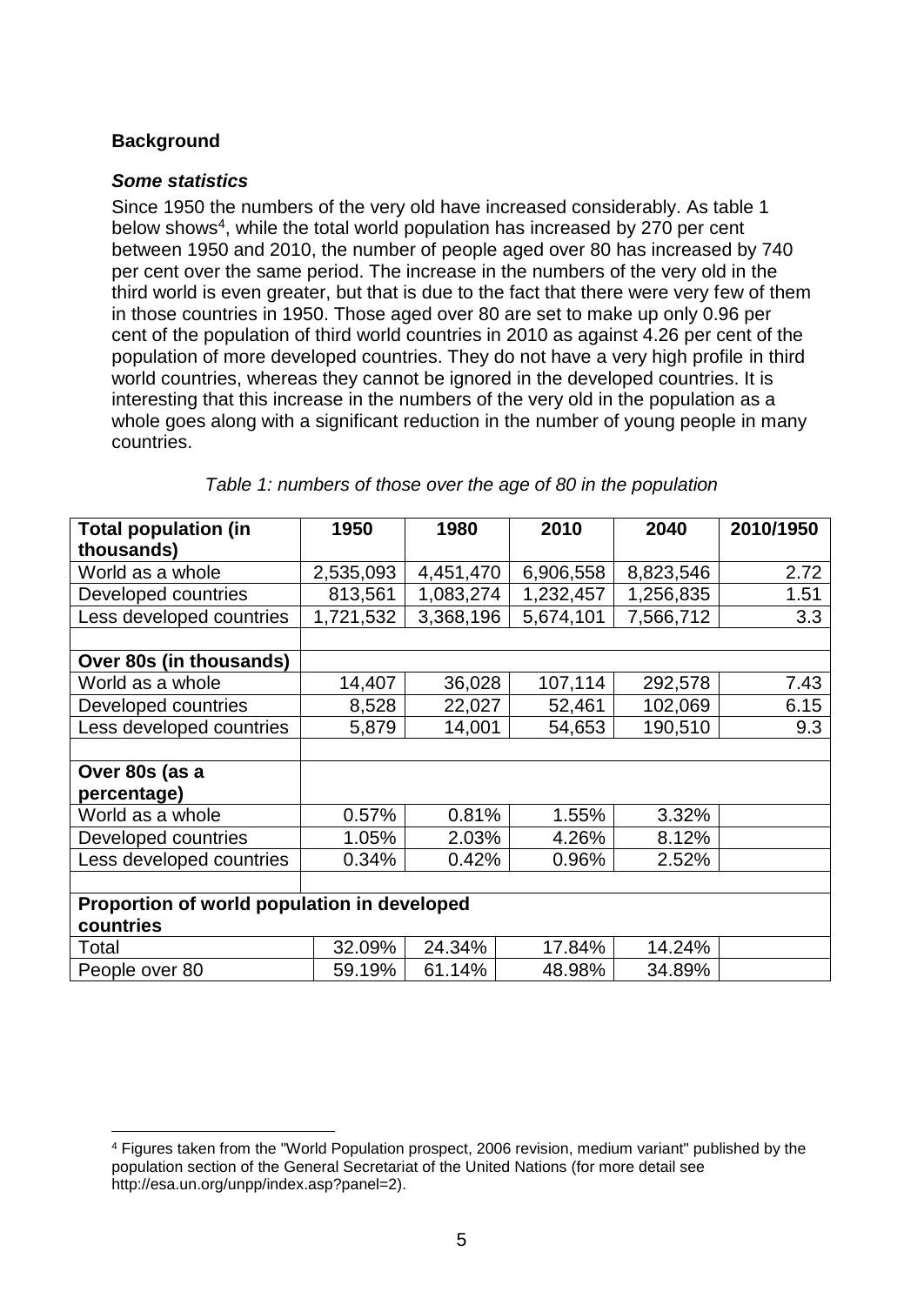## **Background**

#### *Some statistics*

Since 1950 the numbers of the very old have increased considerably. As table 1 below shows<sup>4</sup>, while the total world population has increased by 270 per cent between 1950 and 2010, the number of people aged over 80 has increased by 740 per cent over the same period. The increase in the numbers of the very old in the third world is even greater, but that is due to the fact that there were very few of them in those countries in 1950. Those aged over 80 are set to make up only 0.96 per cent of the population of third world countries in 2010 as against 4.26 per cent of the population of more developed countries. They do not have a very high profile in third world countries, whereas they cannot be ignored in the developed countries. It is interesting that this increase in the numbers of the very old in the population as a whole goes along with a significant reduction in the number of young people in many countries.

| <b>Total population (in</b>                 | 1950      | 1980      | 2010      | 2040      | 2010/1950 |  |  |
|---------------------------------------------|-----------|-----------|-----------|-----------|-----------|--|--|
| thousands)                                  |           |           |           |           |           |  |  |
| World as a whole                            | 2,535,093 | 4,451,470 | 6,906,558 | 8,823,546 | 2.72      |  |  |
| Developed countries                         | 813,561   | 1,083,274 | 1,232,457 | 1,256,835 | 1.51      |  |  |
| Less developed countries                    | 1,721,532 | 3,368,196 | 5,674,101 | 7,566,712 | 3.3       |  |  |
|                                             |           |           |           |           |           |  |  |
| Over 80s (in thousands)                     |           |           |           |           |           |  |  |
| World as a whole                            | 14,407    | 36,028    | 107,114   | 292,578   | 7.43      |  |  |
| Developed countries                         | 8,528     | 22,027    | 52,461    | 102,069   | 6.15      |  |  |
| Less developed countries                    | 5,879     | 14,001    | 54,653    | 190,510   | 9.3       |  |  |
|                                             |           |           |           |           |           |  |  |
| Over 80s (as a                              |           |           |           |           |           |  |  |
| percentage)                                 |           |           |           |           |           |  |  |
| World as a whole                            | 0.57%     | 0.81%     | 1.55%     | 3.32%     |           |  |  |
| Developed countries                         | 1.05%     | 2.03%     | 4.26%     | 8.12%     |           |  |  |
| Less developed countries                    | 0.34%     | 0.42%     | 0.96%     | 2.52%     |           |  |  |
|                                             |           |           |           |           |           |  |  |
| Proportion of world population in developed |           |           |           |           |           |  |  |
| countries                                   |           |           |           |           |           |  |  |
| Total                                       | 32.09%    | 24.34%    | 17.84%    | 14.24%    |           |  |  |
| People over 80                              | 59.19%    | 61.14%    | 48.98%    | 34.89%    |           |  |  |

#### *Table 1: numbers of those over the age of 80 in the population*

<sup>&</sup>lt;u>.</u> <sup>4</sup> Figures taken from the "World Population prospect, 2006 revision, medium variant" published by the population section of the General Secretariat of the United Nations (for more detail see http://esa.un.org/unpp/index.asp?panel=2).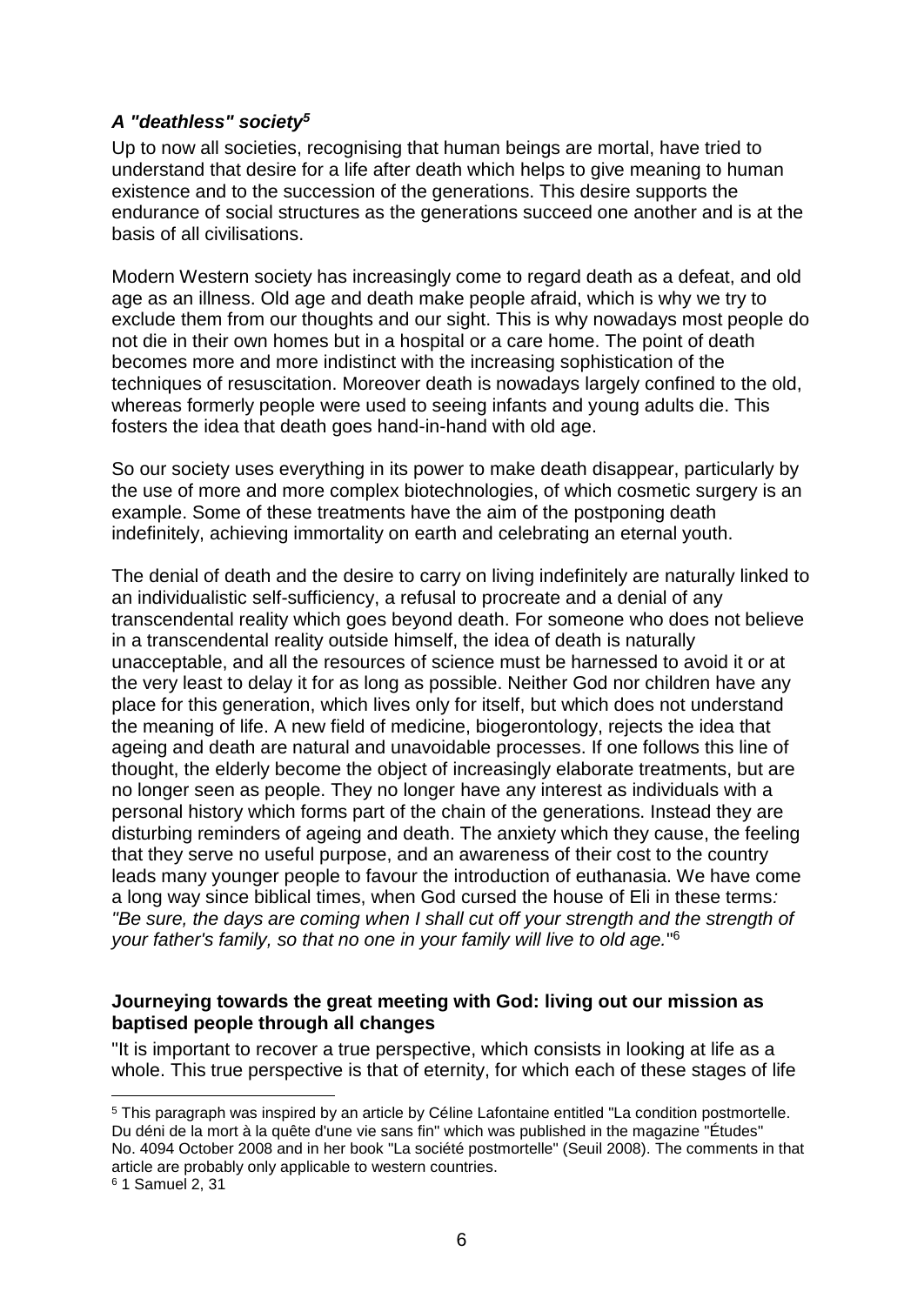## *A "deathless" society<sup>5</sup>*

Up to now all societies, recognising that human beings are mortal, have tried to understand that desire for a life after death which helps to give meaning to human existence and to the succession of the generations. This desire supports the endurance of social structures as the generations succeed one another and is at the basis of all civilisations.

Modern Western society has increasingly come to regard death as a defeat, and old age as an illness. Old age and death make people afraid, which is why we try to exclude them from our thoughts and our sight. This is why nowadays most people do not die in their own homes but in a hospital or a care home. The point of death becomes more and more indistinct with the increasing sophistication of the techniques of resuscitation. Moreover death is nowadays largely confined to the old, whereas formerly people were used to seeing infants and young adults die. This fosters the idea that death goes hand-in-hand with old age.

So our society uses everything in its power to make death disappear, particularly by the use of more and more complex biotechnologies, of which cosmetic surgery is an example. Some of these treatments have the aim of the postponing death indefinitely, achieving immortality on earth and celebrating an eternal youth.

The denial of death and the desire to carry on living indefinitely are naturally linked to an individualistic self-sufficiency, a refusal to procreate and a denial of any transcendental reality which goes beyond death. For someone who does not believe in a transcendental reality outside himself, the idea of death is naturally unacceptable, and all the resources of science must be harnessed to avoid it or at the very least to delay it for as long as possible. Neither God nor children have any place for this generation, which lives only for itself, but which does not understand the meaning of life. A new field of medicine, biogerontology, rejects the idea that ageing and death are natural and unavoidable processes. If one follows this line of thought, the elderly become the object of increasingly elaborate treatments, but are no longer seen as people. They no longer have any interest as individuals with a personal history which forms part of the chain of the generations. Instead they are disturbing reminders of ageing and death. The anxiety which they cause, the feeling that they serve no useful purpose, and an awareness of their cost to the country leads many younger people to favour the introduction of euthanasia. We have come a long way since biblical times, when God cursed the house of Eli in these terms*: "Be sure, the days are coming when I shall cut off your strength and the strength of your father's family, so that no one in your family will live to old age.*" 6

## **Journeying towards the great meeting with God: living out our mission as baptised people through all changes**

"It is important to recover a true perspective, which consists in looking at life as a whole. This true perspective is that of eternity, for which each of these stages of life

<sup>5</sup> This paragraph was inspired by an article by Céline Lafontaine entitled "La condition postmortelle. Du déni de la mort à la quête d'une vie sans fin" which was published in the magazine "Études" No. 4094 October 2008 and in her book "La société postmortelle" (Seuil 2008). The comments in that article are probably only applicable to western countries.

<sup>6</sup> 1 Samuel 2, 31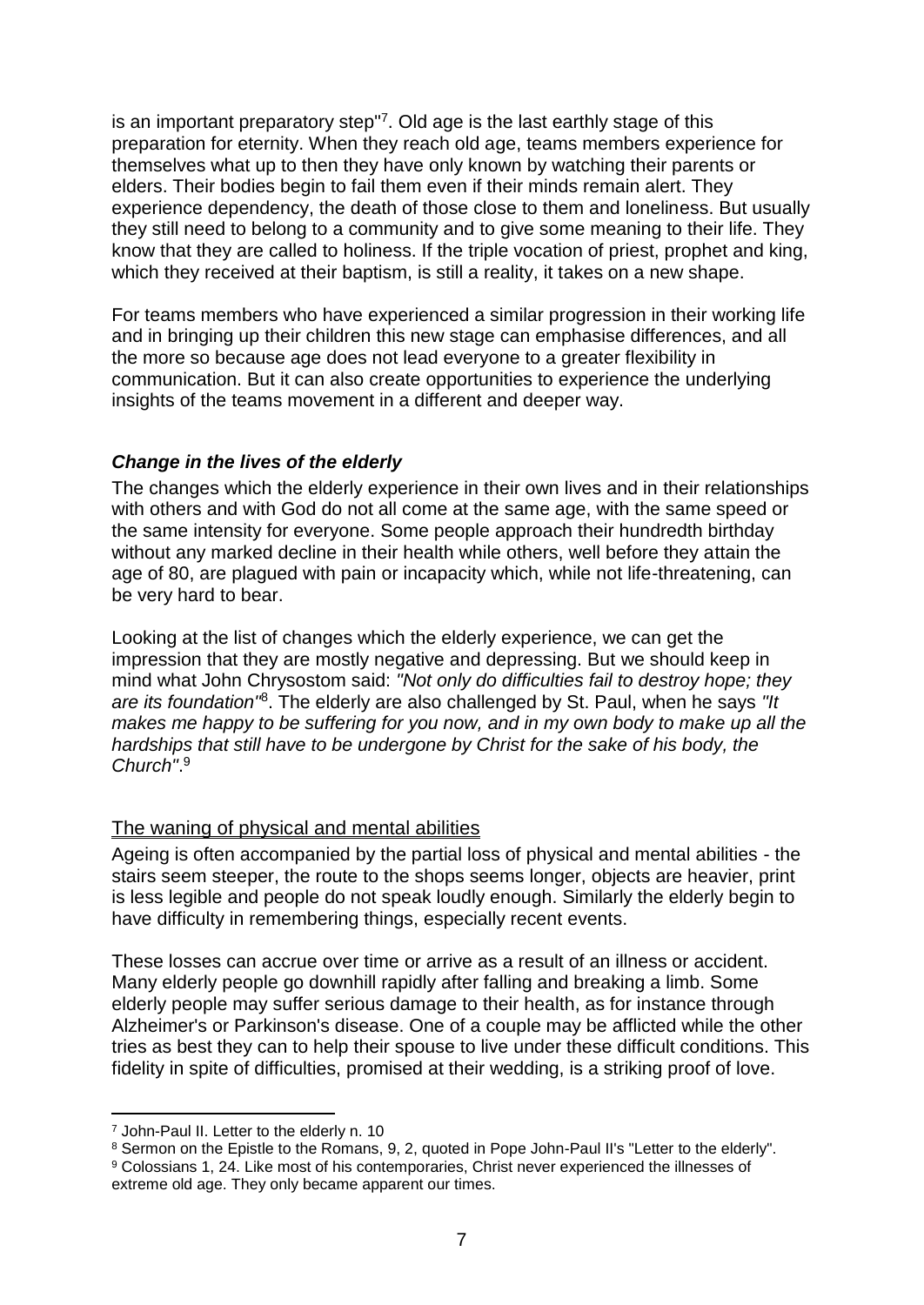is an important preparatory step"<sup>7</sup> . Old age is the last earthly stage of this preparation for eternity. When they reach old age, teams members experience for themselves what up to then they have only known by watching their parents or elders. Their bodies begin to fail them even if their minds remain alert. They experience dependency, the death of those close to them and loneliness. But usually they still need to belong to a community and to give some meaning to their life. They know that they are called to holiness. If the triple vocation of priest, prophet and king, which they received at their baptism, is still a reality, it takes on a new shape.

For teams members who have experienced a similar progression in their working life and in bringing up their children this new stage can emphasise differences, and all the more so because age does not lead everyone to a greater flexibility in communication. But it can also create opportunities to experience the underlying insights of the teams movement in a different and deeper way.

## *Change in the lives of the elderly*

The changes which the elderly experience in their own lives and in their relationships with others and with God do not all come at the same age, with the same speed or the same intensity for everyone. Some people approach their hundredth birthday without any marked decline in their health while others, well before they attain the age of 80, are plagued with pain or incapacity which, while not life-threatening, can be very hard to bear.

Looking at the list of changes which the elderly experience, we can get the impression that they are mostly negative and depressing. But we should keep in mind what John Chrysostom said: *"Not only do difficulties fail to destroy hope; they are its foundation"*<sup>8</sup> . The elderly are also challenged by St. Paul, when he says *"It makes me happy to be suffering for you now, and in my own body to make up all the hardships that still have to be undergone by Christ for the sake of his body, the Church"*. 9

#### The waning of physical and mental abilities

Ageing is often accompanied by the partial loss of physical and mental abilities - the stairs seem steeper, the route to the shops seems longer, objects are heavier, print is less legible and people do not speak loudly enough. Similarly the elderly begin to have difficulty in remembering things, especially recent events.

These losses can accrue over time or arrive as a result of an illness or accident. Many elderly people go downhill rapidly after falling and breaking a limb. Some elderly people may suffer serious damage to their health, as for instance through Alzheimer's or Parkinson's disease. One of a couple may be afflicted while the other tries as best they can to help their spouse to live under these difficult conditions. This fidelity in spite of difficulties, promised at their wedding, is a striking proof of love.

<sup>7</sup> John-Paul II. Letter to the elderly n. 10

<sup>&</sup>lt;sup>8</sup> Sermon on the Epistle to the Romans, 9, 2, quoted in Pope John-Paul II's "Letter to the elderly". <sup>9</sup> Colossians 1, 24. Like most of his contemporaries, Christ never experienced the illnesses of

extreme old age. They only became apparent our times.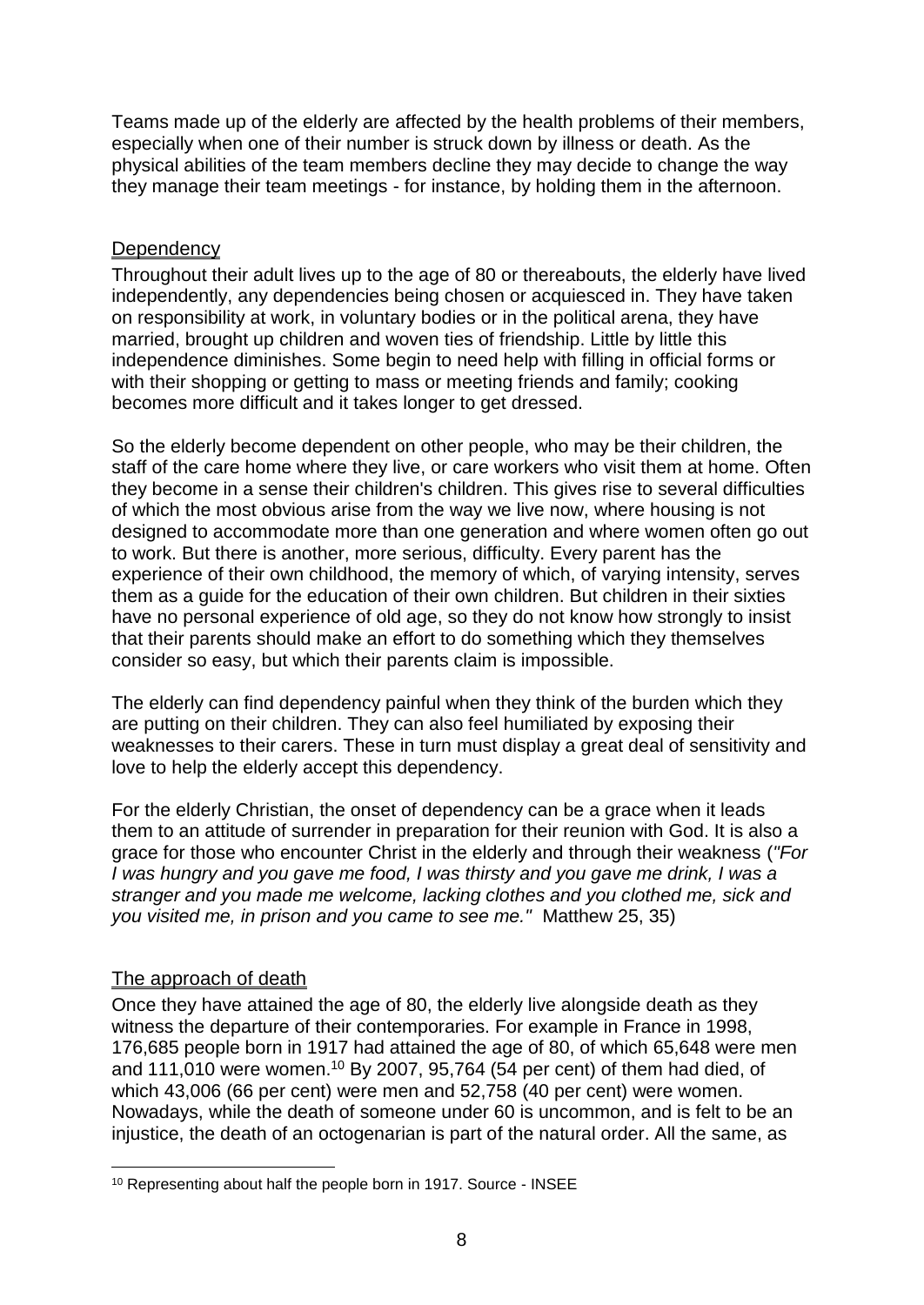Teams made up of the elderly are affected by the health problems of their members, especially when one of their number is struck down by illness or death. As the physical abilities of the team members decline they may decide to change the way they manage their team meetings - for instance, by holding them in the afternoon.

## **Dependency**

Throughout their adult lives up to the age of 80 or thereabouts, the elderly have lived independently, any dependencies being chosen or acquiesced in. They have taken on responsibility at work, in voluntary bodies or in the political arena, they have married, brought up children and woven ties of friendship. Little by little this independence diminishes. Some begin to need help with filling in official forms or with their shopping or getting to mass or meeting friends and family; cooking becomes more difficult and it takes longer to get dressed.

So the elderly become dependent on other people, who may be their children, the staff of the care home where they live, or care workers who visit them at home. Often they become in a sense their children's children. This gives rise to several difficulties of which the most obvious arise from the way we live now, where housing is not designed to accommodate more than one generation and where women often go out to work. But there is another, more serious, difficulty. Every parent has the experience of their own childhood, the memory of which, of varying intensity, serves them as a guide for the education of their own children. But children in their sixties have no personal experience of old age, so they do not know how strongly to insist that their parents should make an effort to do something which they themselves consider so easy, but which their parents claim is impossible.

The elderly can find dependency painful when they think of the burden which they are putting on their children. They can also feel humiliated by exposing their weaknesses to their carers. These in turn must display a great deal of sensitivity and love to help the elderly accept this dependency.

For the elderly Christian, the onset of dependency can be a grace when it leads them to an attitude of surrender in preparation for their reunion with God. It is also a grace for those who encounter Christ in the elderly and through their weakness (*"For I was hungry and you gave me food, I was thirsty and you gave me drink, I was a stranger and you made me welcome, lacking clothes and you clothed me, sick and you visited me, in prison and you came to see me."* Matthew 25, 35)

## The approach of death

1

Once they have attained the age of 80, the elderly live alongside death as they witness the departure of their contemporaries. For example in France in 1998, 176,685 people born in 1917 had attained the age of 80, of which 65,648 were men and 111,010 were women.<sup>10</sup> By 2007, 95,764 (54 per cent) of them had died, of which 43,006 (66 per cent) were men and 52,758 (40 per cent) were women. Nowadays, while the death of someone under 60 is uncommon, and is felt to be an injustice, the death of an octogenarian is part of the natural order. All the same, as

<sup>10</sup> Representing about half the people born in 1917. Source - INSEE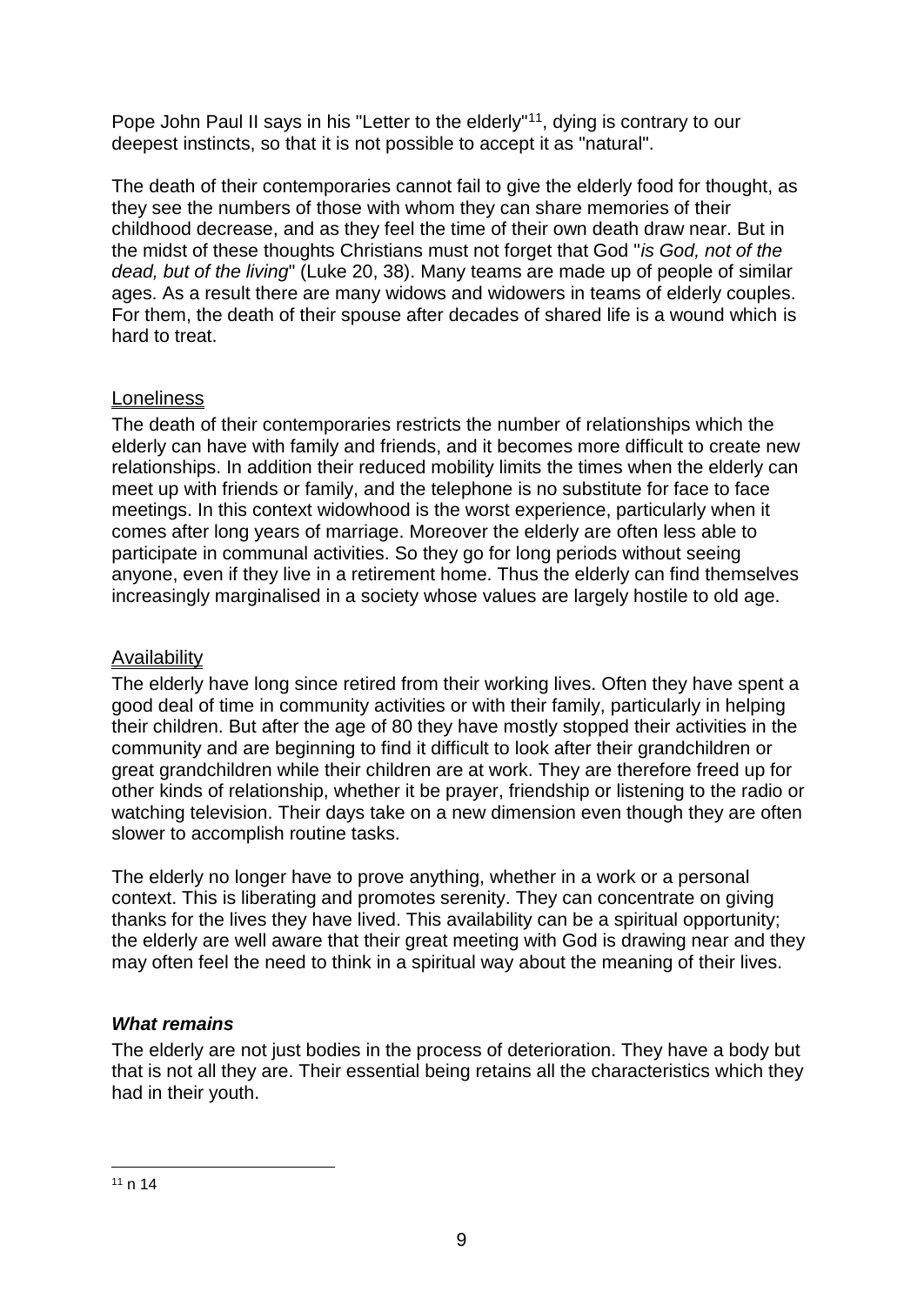Pope John Paul II says in his "Letter to the elderly"<sup>11</sup>, dying is contrary to our deepest instincts, so that it is not possible to accept it as "natural".

The death of their contemporaries cannot fail to give the elderly food for thought, as they see the numbers of those with whom they can share memories of their childhood decrease, and as they feel the time of their own death draw near. But in the midst of these thoughts Christians must not forget that God "*is God, not of the dead, but of the living*" (Luke 20, 38). Many teams are made up of people of similar ages. As a result there are many widows and widowers in teams of elderly couples. For them, the death of their spouse after decades of shared life is a wound which is hard to treat.

## **Loneliness**

The death of their contemporaries restricts the number of relationships which the elderly can have with family and friends, and it becomes more difficult to create new relationships. In addition their reduced mobility limits the times when the elderly can meet up with friends or family, and the telephone is no substitute for face to face meetings. In this context widowhood is the worst experience, particularly when it comes after long years of marriage. Moreover the elderly are often less able to participate in communal activities. So they go for long periods without seeing anyone, even if they live in a retirement home. Thus the elderly can find themselves increasingly marginalised in a society whose values are largely hostile to old age.

## **Availability**

The elderly have long since retired from their working lives. Often they have spent a good deal of time in community activities or with their family, particularly in helping their children. But after the age of 80 they have mostly stopped their activities in the community and are beginning to find it difficult to look after their grandchildren or great grandchildren while their children are at work. They are therefore freed up for other kinds of relationship, whether it be prayer, friendship or listening to the radio or watching television. Their days take on a new dimension even though they are often slower to accomplish routine tasks.

The elderly no longer have to prove anything, whether in a work or a personal context. This is liberating and promotes serenity. They can concentrate on giving thanks for the lives they have lived. This availability can be a spiritual opportunity; the elderly are well aware that their great meeting with God is drawing near and they may often feel the need to think in a spiritual way about the meaning of their lives.

## *What remains*

The elderly are not just bodies in the process of deterioration. They have a body but that is not all they are. Their essential being retains all the characteristics which they had in their youth.

<sup>1</sup>  $11 n 14$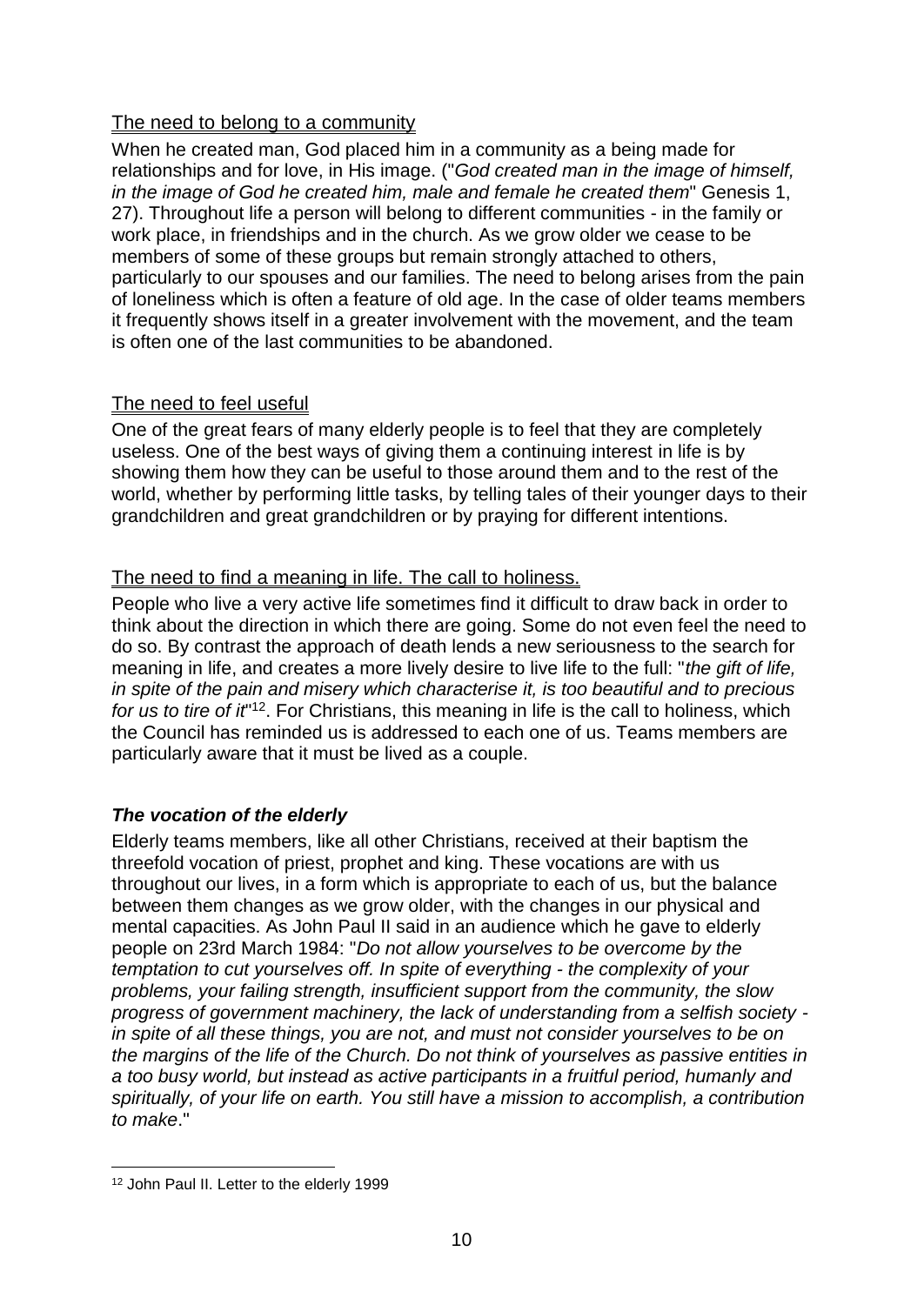## The need to belong to a community

When he created man, God placed him in a community as a being made for relationships and for love, in His image. ("*God created man in the image of himself, in the image of God he created him, male and female he created them*" Genesis 1, 27). Throughout life a person will belong to different communities - in the family or work place, in friendships and in the church. As we grow older we cease to be members of some of these groups but remain strongly attached to others, particularly to our spouses and our families. The need to belong arises from the pain of loneliness which is often a feature of old age. In the case of older teams members it frequently shows itself in a greater involvement with the movement, and the team is often one of the last communities to be abandoned.

## The need to feel useful

One of the great fears of many elderly people is to feel that they are completely useless. One of the best ways of giving them a continuing interest in life is by showing them how they can be useful to those around them and to the rest of the world, whether by performing little tasks, by telling tales of their younger days to their grandchildren and great grandchildren or by praying for different intentions.

## The need to find a meaning in life. The call to holiness.

People who live a very active life sometimes find it difficult to draw back in order to think about the direction in which there are going. Some do not even feel the need to do so. By contrast the approach of death lends a new seriousness to the search for meaning in life, and creates a more lively desire to live life to the full: "*the gift of life, in spite of the pain and misery which characterise it, is too beautiful and to precious*  for us to tire of it<sup>"12</sup>. For Christians, this meaning in life is the call to holiness, which the Council has reminded us is addressed to each one of us. Teams members are particularly aware that it must be lived as a couple.

## *The vocation of the elderly*

Elderly teams members, like all other Christians, received at their baptism the threefold vocation of priest, prophet and king. These vocations are with us throughout our lives, in a form which is appropriate to each of us, but the balance between them changes as we grow older, with the changes in our physical and mental capacities. As John Paul II said in an audience which he gave to elderly people on 23rd March 1984: "*Do not allow yourselves to be overcome by the temptation to cut yourselves off. In spite of everything - the complexity of your problems, your failing strength, insufficient support from the community, the slow progress of government machinery, the lack of understanding from a selfish society in spite of all these things, you are not, and must not consider yourselves to be on the margins of the life of the Church. Do not think of yourselves as passive entities in a too busy world, but instead as active participants in a fruitful period, humanly and spiritually, of your life on earth. You still have a mission to accomplish, a contribution to make*."

<sup>1</sup> 12 John Paul II. Letter to the elderly 1999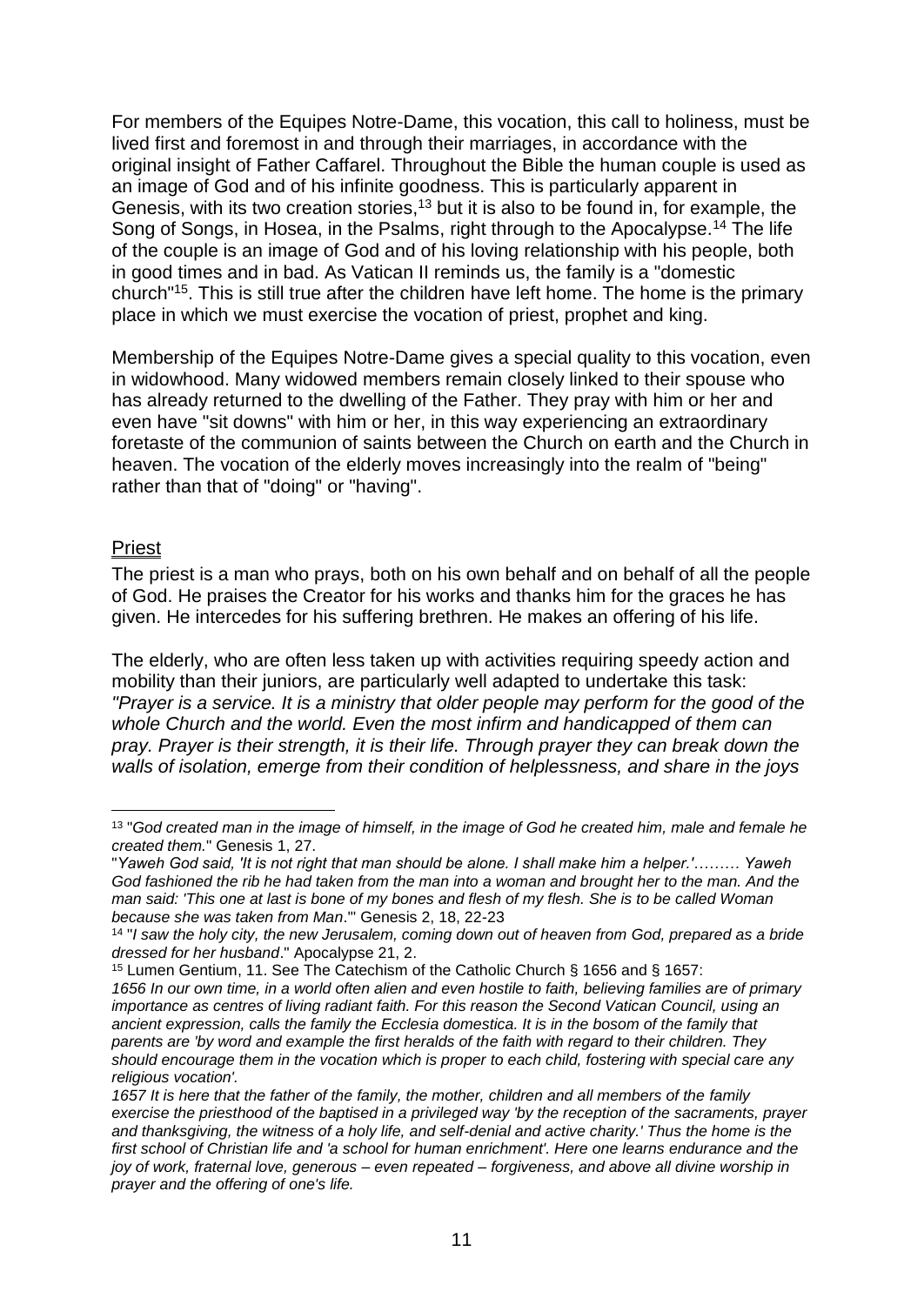For members of the Equipes Notre-Dame, this vocation, this call to holiness, must be lived first and foremost in and through their marriages, in accordance with the original insight of Father Caffarel. Throughout the Bible the human couple is used as an image of God and of his infinite goodness. This is particularly apparent in Genesis, with its two creation stories,<sup>13</sup> but it is also to be found in, for example, the Song of Songs, in Hosea, in the Psalms, right through to the Apocalypse.<sup>14</sup> The life of the couple is an image of God and of his loving relationship with his people, both in good times and in bad. As Vatican II reminds us, the family is a "domestic church"<sup>15</sup>. This is still true after the children have left home. The home is the primary place in which we must exercise the vocation of priest, prophet and king.

Membership of the Equipes Notre-Dame gives a special quality to this vocation, even in widowhood. Many widowed members remain closely linked to their spouse who has already returned to the dwelling of the Father. They pray with him or her and even have "sit downs" with him or her, in this way experiencing an extraordinary foretaste of the communion of saints between the Church on earth and the Church in heaven. The vocation of the elderly moves increasingly into the realm of "being" rather than that of "doing" or "having".

#### Priest

The priest is a man who prays, both on his own behalf and on behalf of all the people of God. He praises the Creator for his works and thanks him for the graces he has given. He intercedes for his suffering brethren. He makes an offering of his life.

The elderly, who are often less taken up with activities requiring speedy action and mobility than their juniors, are particularly well adapted to undertake this task: *"Prayer is a service. It is a ministry that older people may perform for the good of the whole Church and the world. Even the most infirm and handicapped of them can pray. Prayer is their strength, it is their life. Through prayer they can break down the walls of isolation, emerge from their condition of helplessness, and share in the joys* 

<sup>&</sup>lt;u>.</u> 13 "*God created man in the image of himself, in the image of God he created him, male and female he created them.*" Genesis 1, 27.

<sup>&</sup>quot;*Yaweh God said, 'It is not right that man should be alone. I shall make him a helper.'……… Yaweh*  God fashioned the rib he had taken from the man into a woman and brought her to the man. And the *man said: 'This one at last is bone of my bones and flesh of my flesh. She is to be called Woman because she was taken from Man*.'" Genesis 2, 18, 22-23

<sup>14</sup> "*I saw the holy city, the new Jerusalem, coming down out of heaven from God, prepared as a bride dressed for her husband*." Apocalypse 21, 2.

<sup>15</sup> Lumen Gentium, 11. See The Catechism of the Catholic Church § 1656 and § 1657:

*<sup>1656</sup> In our own time, in a world often alien and even hostile to faith, believing families are of primary importance as centres of living radiant faith. For this reason the Second Vatican Council, using an ancient expression, calls the family the Ecclesia domestica. It is in the bosom of the family that parents are 'by word and example the first heralds of the faith with regard to their children. They should encourage them in the vocation which is proper to each child, fostering with special care any religious vocation'.*

<sup>1657</sup> It is here that the father of the family, the mother, children and all members of the family *exercise the priesthood of the baptised in a privileged way 'by the reception of the sacraments, prayer*  and thanksgiving, the witness of a holy life, and self-denial and active charity.' Thus the home is the *first school of Christian life and 'a school for human enrichment'. Here one learns endurance and the joy of work, fraternal love, generous – even repeated – forgiveness, and above all divine worship in prayer and the offering of one's life.*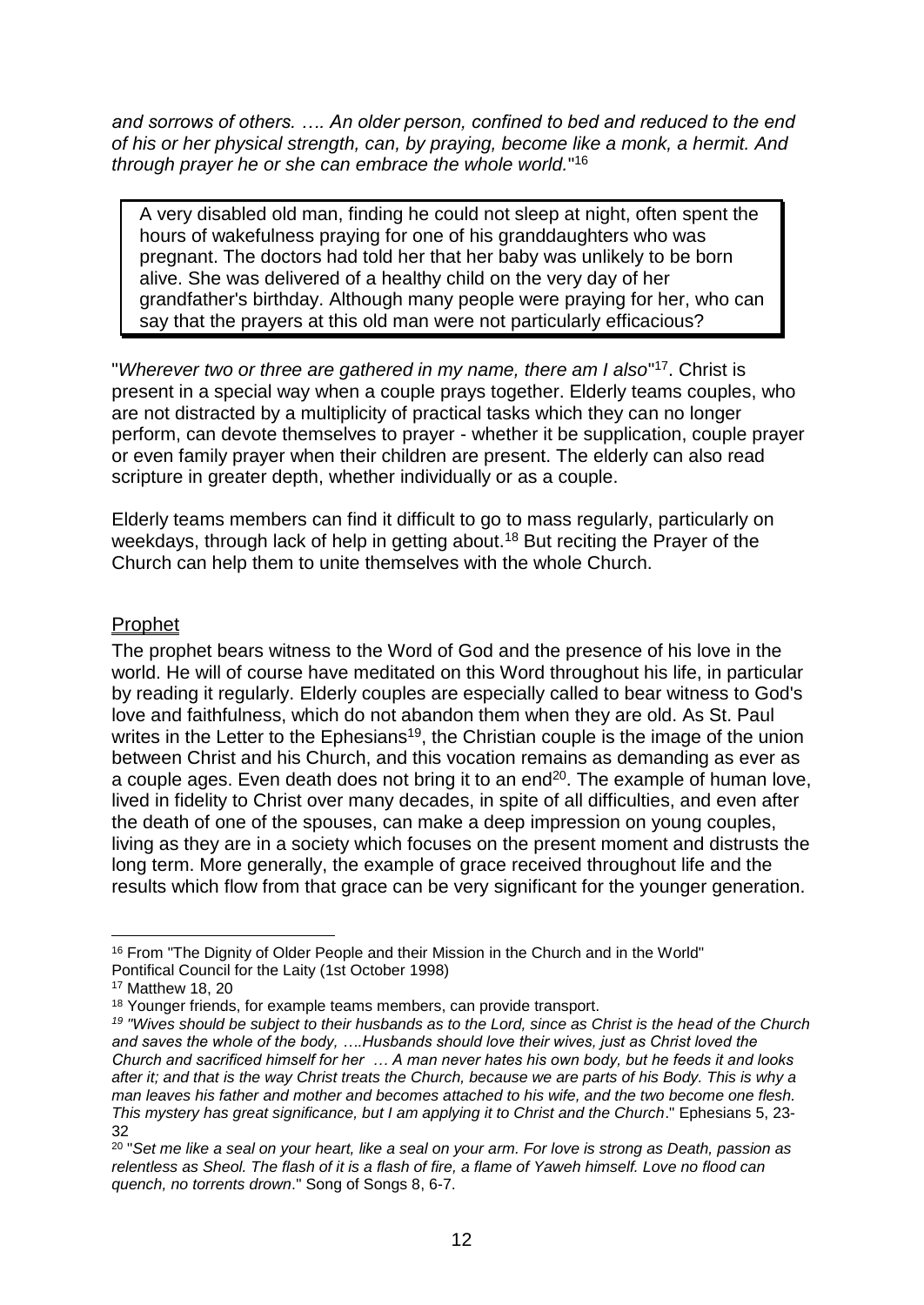*and sorrows of others. …. An older person, confined to bed and reduced to the end of his or her physical strength, can, by praying, become like a monk, a hermit. And through prayer he or she can embrace the whole world.*" 16

A very disabled old man, finding he could not sleep at night, often spent the hours of wakefulness praying for one of his granddaughters who was pregnant. The doctors had told her that her baby was unlikely to be born alive. She was delivered of a healthy child on the very day of her grandfather's birthday. Although many people were praying for her, who can say that the prayers at this old man were not particularly efficacious?

"*Wherever two or three are gathered in my name, there am I also*" <sup>17</sup>. Christ is present in a special way when a couple prays together. Elderly teams couples, who are not distracted by a multiplicity of practical tasks which they can no longer perform, can devote themselves to prayer - whether it be supplication, couple prayer or even family prayer when their children are present. The elderly can also read scripture in greater depth, whether individually or as a couple.

Elderly teams members can find it difficult to go to mass regularly, particularly on weekdays, through lack of help in getting about.<sup>18</sup> But reciting the Prayer of the Church can help them to unite themselves with the whole Church.

## Prophet

The prophet bears witness to the Word of God and the presence of his love in the world. He will of course have meditated on this Word throughout his life, in particular by reading it regularly. Elderly couples are especially called to bear witness to God's love and faithfulness, which do not abandon them when they are old. As St. Paul writes in the Letter to the Ephesians<sup>19</sup>, the Christian couple is the image of the union between Christ and his Church, and this vocation remains as demanding as ever as a couple ages. Even death does not bring it to an end<sup>20</sup>. The example of human love, lived in fidelity to Christ over many decades, in spite of all difficulties, and even after the death of one of the spouses, can make a deep impression on young couples, living as they are in a society which focuses on the present moment and distrusts the long term. More generally, the example of grace received throughout life and the results which flow from that grace can be very significant for the younger generation.

<sup>1</sup> <sup>16</sup> From "The Dignity of Older People and their Mission in the Church and in the World" Pontifical Council for the Laity (1st October 1998)

<sup>17</sup> Matthew 18, 20

<sup>&</sup>lt;sup>18</sup> Younger friends, for example teams members, can provide transport.

*<sup>19</sup> "Wives should be subject to their husbands as to the Lord, since as Christ is the head of the Church and saves the whole of the body, ….Husbands should love their wives, just as Christ loved the Church and sacrificed himself for her … A man never hates his own body, but he feeds it and looks after it; and that is the way Christ treats the Church, because we are parts of his Body. This is why a man leaves his father and mother and becomes attached to his wife, and the two become one flesh. This mystery has great significance, but I am applying it to Christ and the Church*." Ephesians 5, 23- 32

<sup>&</sup>lt;sup>20</sup> "Set me like a seal on your heart, like a seal on your arm. For love is strong as Death, passion as *relentless as Sheol. The flash of it is a flash of fire, a flame of Yaweh himself. Love no flood can quench, no torrents drown*." Song of Songs 8, 6-7.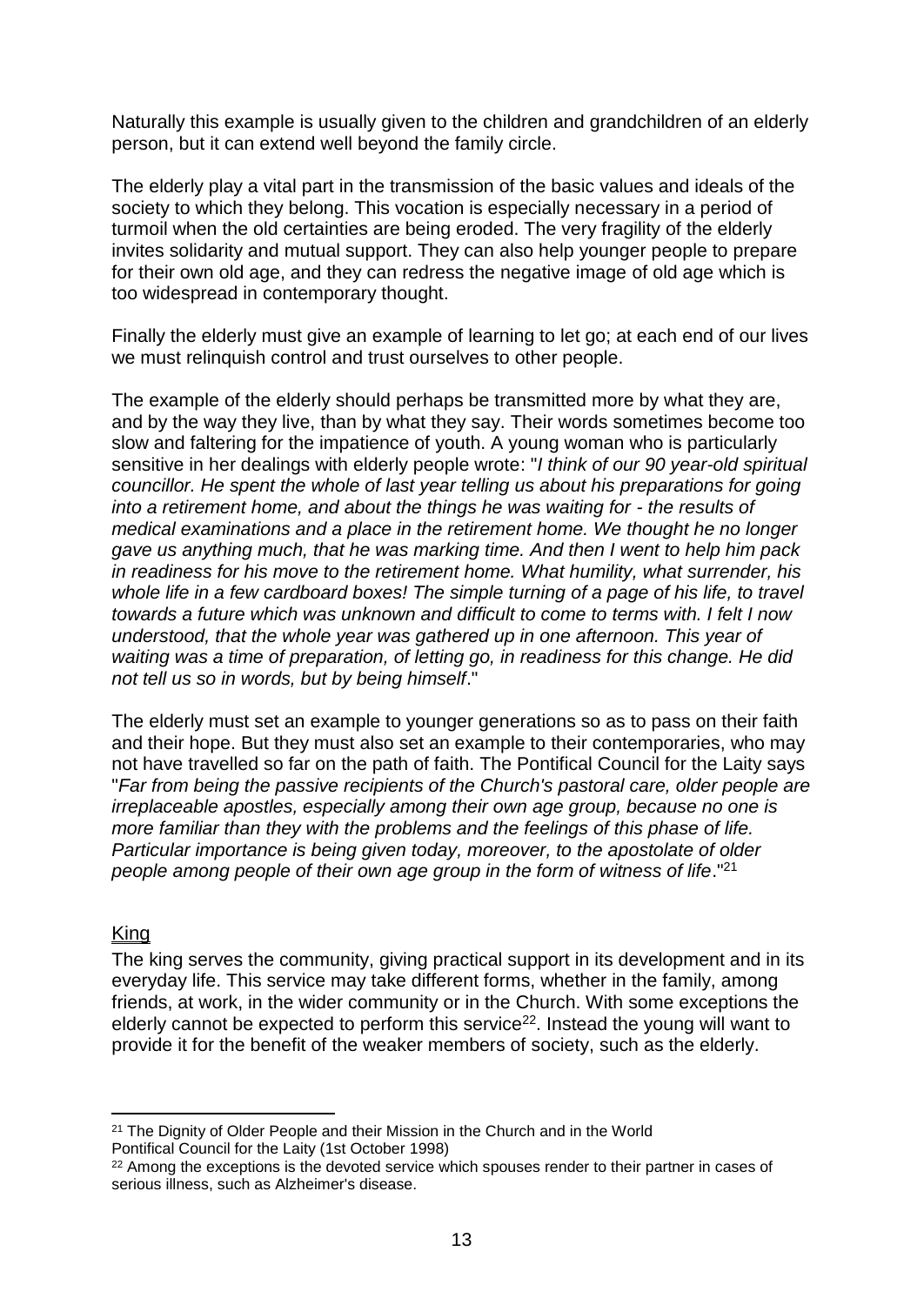Naturally this example is usually given to the children and grandchildren of an elderly person, but it can extend well beyond the family circle.

The elderly play a vital part in the transmission of the basic values and ideals of the society to which they belong. This vocation is especially necessary in a period of turmoil when the old certainties are being eroded. The very fragility of the elderly invites solidarity and mutual support. They can also help younger people to prepare for their own old age, and they can redress the negative image of old age which is too widespread in contemporary thought.

Finally the elderly must give an example of learning to let go; at each end of our lives we must relinquish control and trust ourselves to other people.

The example of the elderly should perhaps be transmitted more by what they are, and by the way they live, than by what they say. Their words sometimes become too slow and faltering for the impatience of youth. A young woman who is particularly sensitive in her dealings with elderly people wrote: "*I think of our 90 year-old spiritual councillor. He spent the whole of last year telling us about his preparations for going into a retirement home, and about the things he was waiting for - the results of medical examinations and a place in the retirement home. We thought he no longer gave us anything much, that he was marking time. And then I went to help him pack in readiness for his move to the retirement home. What humility, what surrender, his whole life in a few cardboard boxes! The simple turning of a page of his life, to travel towards a future which was unknown and difficult to come to terms with. I felt I now understood, that the whole year was gathered up in one afternoon. This year of waiting was a time of preparation, of letting go, in readiness for this change. He did not tell us so in words, but by being himself*."

The elderly must set an example to younger generations so as to pass on their faith and their hope. But they must also set an example to their contemporaries, who may not have travelled so far on the path of faith. The Pontifical Council for the Laity says "*Far from being the passive recipients of the Church's pastoral care, older people are irreplaceable apostles, especially among their own age group, because no one is more familiar than they with the problems and the feelings of this phase of life. Particular importance is being given today, moreover, to the apostolate of older people among people of their own age group in the form of witness of life.*"<sup>21</sup>

#### **King**

1

The king serves the community, giving practical support in its development and in its everyday life. This service may take different forms, whether in the family, among friends, at work, in the wider community or in the Church. With some exceptions the elderly cannot be expected to perform this service<sup>22</sup>. Instead the young will want to provide it for the benefit of the weaker members of society, such as the elderly.

<sup>21</sup> The Dignity of Older People and their Mission in the Church and in the World Pontifical Council for the Laity (1st October 1998)

<sup>&</sup>lt;sup>22</sup> Among the exceptions is the devoted service which spouses render to their partner in cases of serious illness, such as Alzheimer's disease.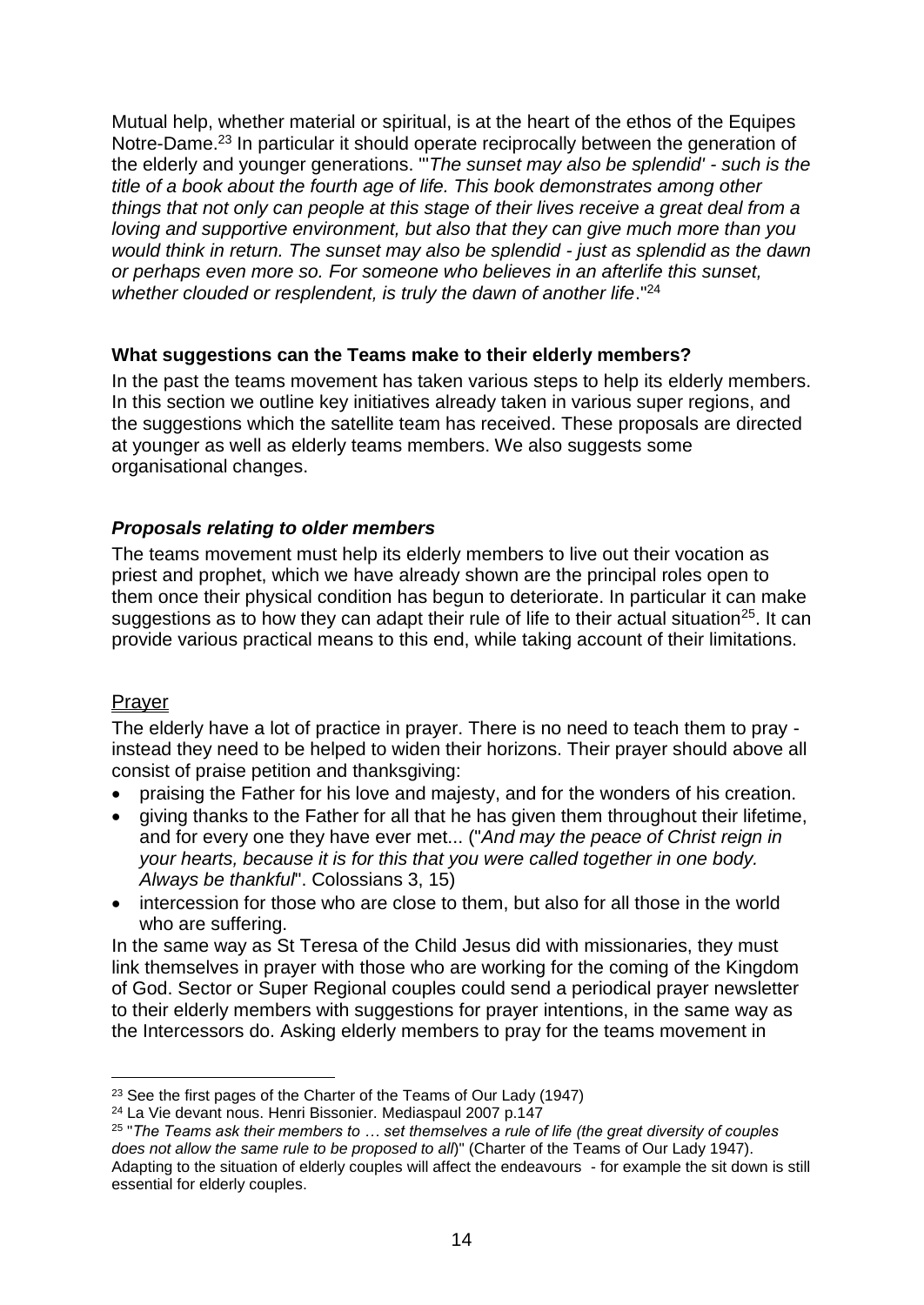Mutual help, whether material or spiritual, is at the heart of the ethos of the Equipes Notre-Dame.<sup>23</sup> In particular it should operate reciprocally between the generation of the elderly and younger generations. "'*The sunset may also be splendid' - such is the title of a book about the fourth age of life. This book demonstrates among other things that not only can people at this stage of their lives receive a great deal from a loving and supportive environment, but also that they can give much more than you would think in return. The sunset may also be splendid - just as splendid as the dawn or perhaps even more so. For someone who believes in an afterlife this sunset,*  whether clouded or resplendent, is truly the dawn of another life."<sup>24</sup>

## **What suggestions can the Teams make to their elderly members?**

In the past the teams movement has taken various steps to help its elderly members. In this section we outline key initiatives already taken in various super regions, and the suggestions which the satellite team has received. These proposals are directed at younger as well as elderly teams members. We also suggests some organisational changes.

## *Proposals relating to older members*

The teams movement must help its elderly members to live out their vocation as priest and prophet, which we have already shown are the principal roles open to them once their physical condition has begun to deteriorate. In particular it can make suggestions as to how they can adapt their rule of life to their actual situation<sup>25</sup>. It can provide various practical means to this end, while taking account of their limitations.

## **Prayer**

The elderly have a lot of practice in prayer. There is no need to teach them to pray instead they need to be helped to widen their horizons. Their prayer should above all consist of praise petition and thanksgiving:

- praising the Father for his love and majesty, and for the wonders of his creation.
- giving thanks to the Father for all that he has given them throughout their lifetime, and for every one they have ever met... ("*And may the peace of Christ reign in your hearts, because it is for this that you were called together in one body. Always be thankful*". Colossians 3, 15)
- intercession for those who are close to them, but also for all those in the world who are suffering.

<span id="page-13-0"></span>In the same way as St Teresa of the Child Jesus did with missionaries, they must link themselves in prayer with those who are working for the coming of the Kingdom of God. Sector or Super Regional couples could send a periodical prayer newsletter to their elderly members with suggestions for prayer intentions, in the same way as the Intercessors do. Asking elderly members to pray for the teams movement in

<sup>1</sup> <sup>23</sup> See the first pages of the Charter of the Teams of Our Lady (1947)

<sup>24</sup> La Vie devant nous. Henri Bissonier. Mediaspaul 2007 p.147

<sup>25</sup> "*The Teams ask their members to … set themselves a rule of life (the great diversity of couples does not allow the same rule to be proposed to all*)" (Charter of the Teams of Our Lady 1947). Adapting to the situation of elderly couples will affect the endeavours - for example the sit down is still essential for elderly couples.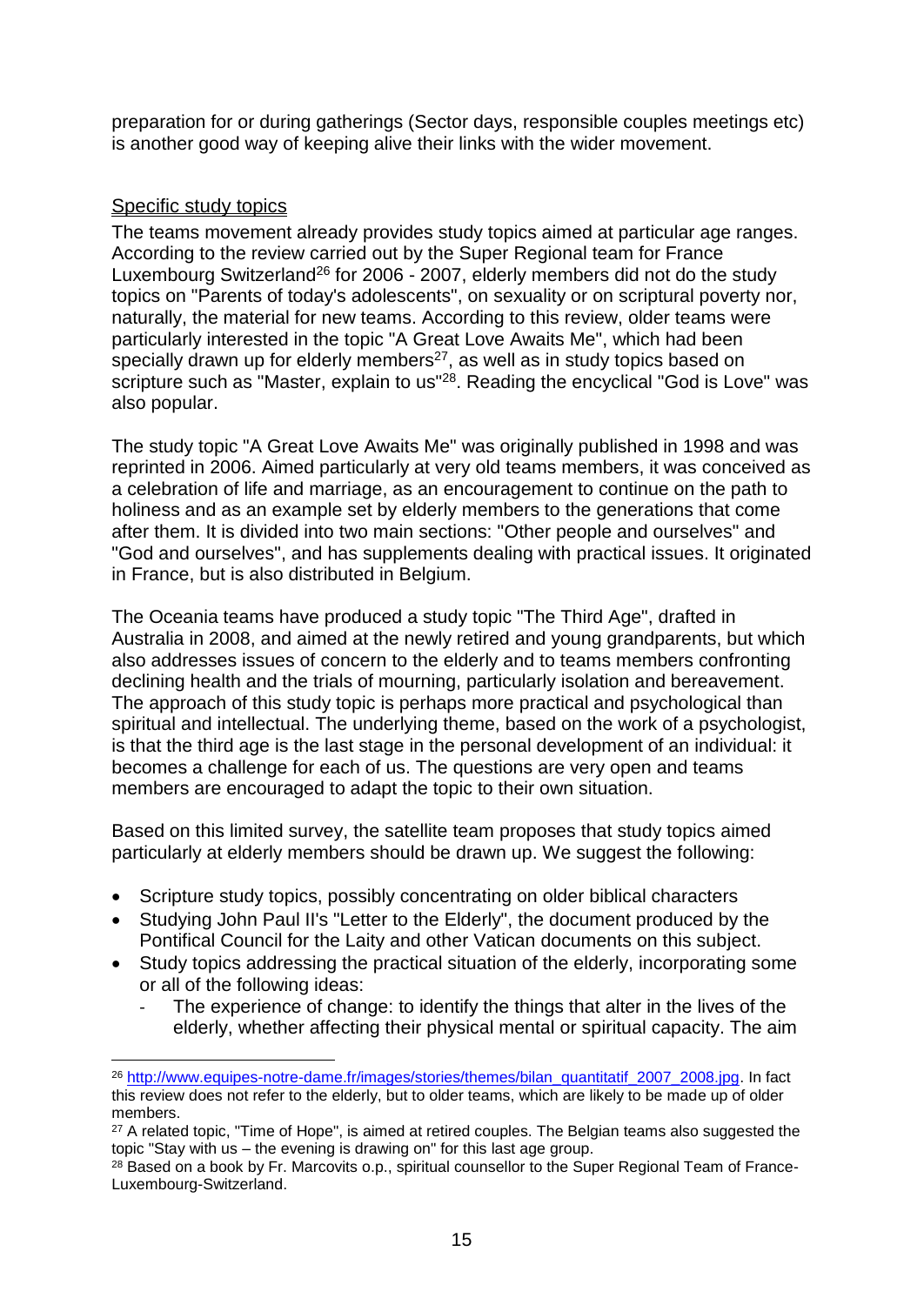preparation for or during gatherings (Sector days, responsible couples meetings etc) is another good way of keeping alive their links with the wider movement.

## Specific study topics

1

The teams movement already provides study topics aimed at particular age ranges. According to the review carried out by the Super Regional team for France Luxembourg Switzerland<sup>26</sup> for 2006 - 2007, elderly members did not do the study topics on "Parents of today's adolescents", on sexuality or on scriptural poverty nor, naturally, the material for new teams. According to this review, older teams were particularly interested in the topic "A Great Love Awaits Me", which had been specially drawn up for elderly members<sup>27</sup>, as well as in study topics based on scripture such as "Master, explain to us"<sup>28</sup>. Reading the encyclical "God is Love" was also popular.

The study topic "A Great Love Awaits Me" was originally published in 1998 and was reprinted in 2006. Aimed particularly at very old teams members, it was conceived as a celebration of life and marriage, as an encouragement to continue on the path to holiness and as an example set by elderly members to the generations that come after them. It is divided into two main sections: "Other people and ourselves" and "God and ourselves", and has supplements dealing with practical issues. It originated in France, but is also distributed in Belgium.

The Oceania teams have produced a study topic "The Third Age", drafted in Australia in 2008, and aimed at the newly retired and young grandparents, but which also addresses issues of concern to the elderly and to teams members confronting declining health and the trials of mourning, particularly isolation and bereavement. The approach of this study topic is perhaps more practical and psychological than spiritual and intellectual. The underlying theme, based on the work of a psychologist, is that the third age is the last stage in the personal development of an individual: it becomes a challenge for each of us. The questions are very open and teams members are encouraged to adapt the topic to their own situation.

<span id="page-14-0"></span>Based on this limited survey, the satellite team proposes that study topics aimed particularly at elderly members should be drawn up. We suggest the following:

- Scripture study topics, possibly concentrating on older biblical characters
- Studying John Paul II's "Letter to the Elderly", the document produced by the Pontifical Council for the Laity and other Vatican documents on this subject.
- Study topics addressing the practical situation of the elderly, incorporating some or all of the following ideas:
	- The experience of change: to identify the things that alter in the lives of the elderly, whether affecting their physical mental or spiritual capacity. The aim

<sup>26</sup> [http://www.equipes-notre-dame.fr/images/stories/themes/bilan\\_quantitatif\\_2007\\_2008.jpg.](http://www.equipes-notre-dame.fr/images/stories/themes/bilan_quantitatif_2007_2008.jpg) In fact this review does not refer to the elderly, but to older teams, which are likely to be made up of older members.

<sup>&</sup>lt;sup>27</sup> A related topic, "Time of Hope", is aimed at retired couples. The Belgian teams also suggested the topic "Stay with us – the evening is drawing on" for this last age group.

<sup>&</sup>lt;sup>28</sup> Based on a book by Fr. Marcovits o.p., spiritual counsellor to the Super Regional Team of France-Luxembourg-Switzerland.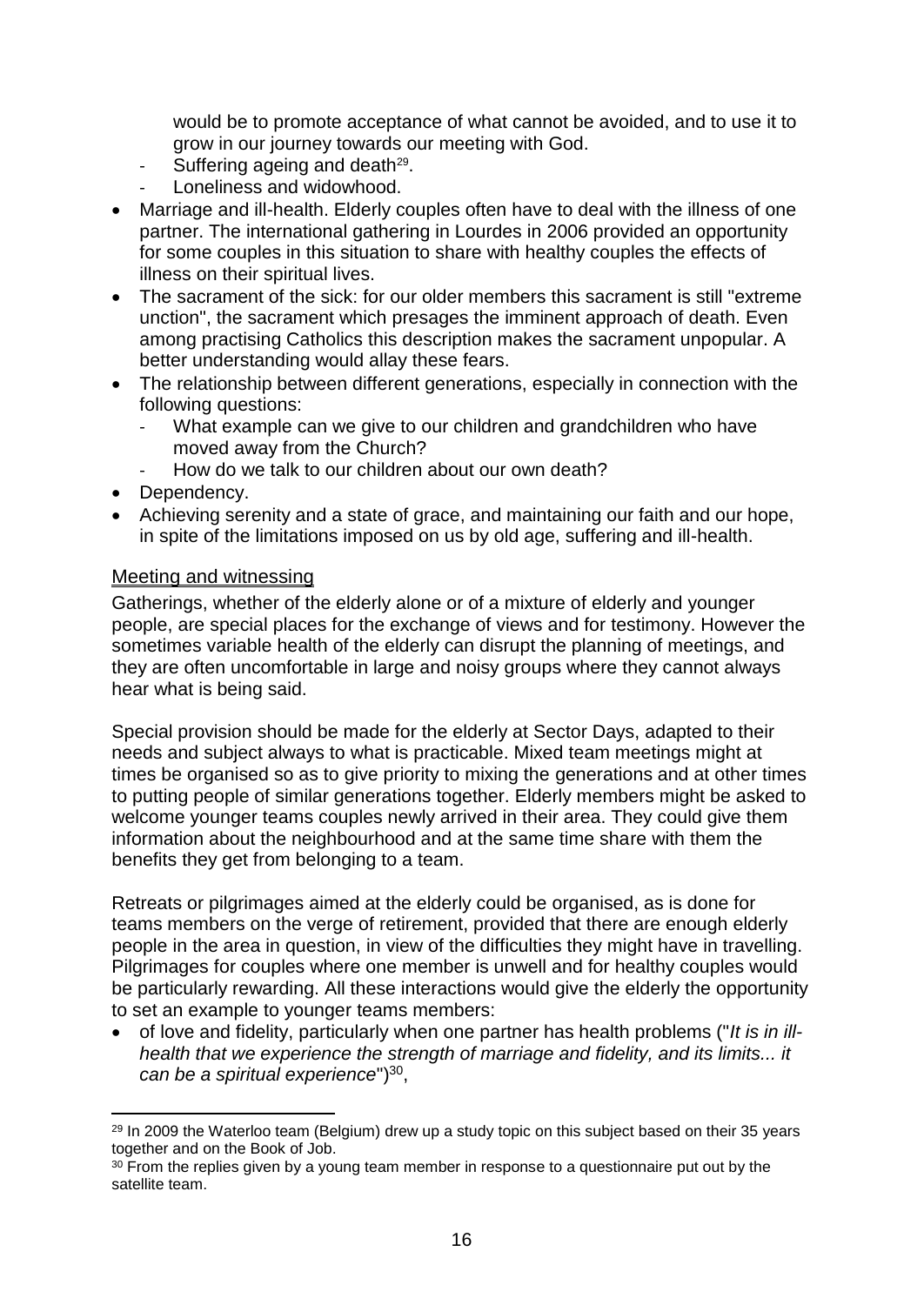would be to promote acceptance of what cannot be avoided, and to use it to grow in our journey towards our meeting with God.

- Suffering ageing and death<sup>29</sup>.
- Loneliness and widowhood.
- Marriage and ill-health. Elderly couples often have to deal with the illness of one partner. The international gathering in Lourdes in 2006 provided an opportunity for some couples in this situation to share with healthy couples the effects of illness on their spiritual lives.
- The sacrament of the sick: for our older members this sacrament is still "extreme unction", the sacrament which presages the imminent approach of death. Even among practising Catholics this description makes the sacrament unpopular. A better understanding would allay these fears.
- The relationship between different generations, especially in connection with the following questions:
	- What example can we give to our children and grandchildren who have moved away from the Church?
	- How do we talk to our children about our own death?
- Dependency.

1

 Achieving serenity and a state of grace, and maintaining our faith and our hope, in spite of the limitations imposed on us by old age, suffering and ill-health.

#### Meeting and witnessing

Gatherings, whether of the elderly alone or of a mixture of elderly and younger people, are special places for the exchange of views and for testimony. However the sometimes variable health of the elderly can disrupt the planning of meetings, and they are often uncomfortable in large and noisy groups where they cannot always hear what is being said.

<span id="page-15-0"></span>Special provision should be made for the elderly at Sector Days, adapted to their needs and subject always to what is practicable. Mixed team meetings might at times be organised so as to give priority to mixing the generations and at other times to putting people of similar generations together. Elderly members might be asked to welcome younger teams couples newly arrived in their area. They could give them information about the neighbourhood and at the same time share with them the benefits they get from belonging to a team.

Retreats or pilgrimages aimed at the elderly could be organised, as is done for teams members on the verge of retirement, provided that there are enough elderly people in the area in question, in view of the difficulties they might have in travelling. Pilgrimages for couples where one member is unwell and for healthy couples would be particularly rewarding. All these interactions would give the elderly the opportunity to set an example to younger teams members:

• of love and fidelity, particularly when one partner has health problems ("It is in ill*health that we experience the strength of marriage and fidelity, and its limits... it*  can be a spiritual experience")<sup>30</sup>,

<sup>&</sup>lt;sup>29</sup> In 2009 the Waterloo team (Belgium) drew up a study topic on this subject based on their 35 years together and on the Book of Job.

<sup>&</sup>lt;sup>30</sup> From the replies given by a young team member in response to a questionnaire put out by the satellite team.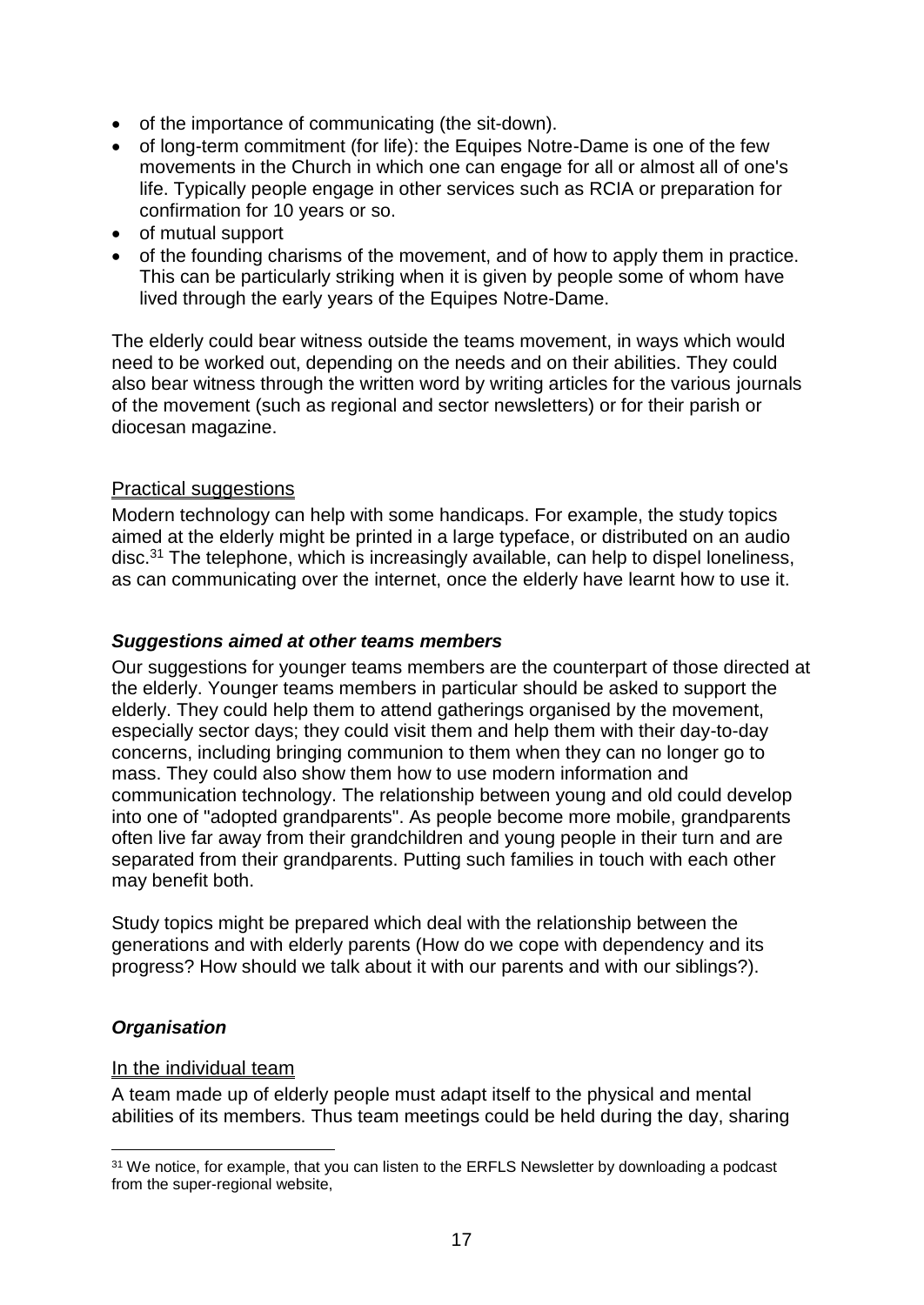- of the importance of communicating (the sit-down).
- of long-term commitment (for life): the Equipes Notre-Dame is one of the few movements in the Church in which one can engage for all or almost all of one's life. Typically people engage in other services such as RCIA or preparation for confirmation for 10 years or so.
- of mutual support
- of the founding charisms of the movement, and of how to apply them in practice. This can be particularly striking when it is given by people some of whom have lived through the early years of the Equipes Notre-Dame.

The elderly could bear witness outside the teams movement, in ways which would need to be worked out, depending on the needs and on their abilities. They could also bear witness through the written word by writing articles for the various journals of the movement (such as regional and sector newsletters) or for their parish or diocesan magazine.

#### <span id="page-16-0"></span>Practical suggestions

Modern technology can help with some handicaps. For example, the study topics aimed at the elderly might be printed in a large typeface, or distributed on an audio disc.<sup>31</sup> The telephone, which is increasingly available, can help to dispel loneliness, as can communicating over the internet, once the elderly have learnt how to use it.

#### <span id="page-16-1"></span>*Suggestions aimed at other teams members*

Our suggestions for younger teams members are the counterpart of those directed at the elderly. Younger teams members in particular should be asked to support the elderly. They could help them to attend gatherings organised by the movement, especially sector days; they could visit them and help them with their day-to-day concerns, including bringing communion to them when they can no longer go to mass. They could also show them how to use modern information and communication technology. The relationship between young and old could develop into one of "adopted grandparents". As people become more mobile, grandparents often live far away from their grandchildren and young people in their turn and are separated from their grandparents. Putting such families in touch with each other may benefit both.

<span id="page-16-2"></span>Study topics might be prepared which deal with the relationship between the generations and with elderly parents (How do we cope with dependency and its progress? How should we talk about it with our parents and with our siblings?).

#### *Organisation*

1

#### <span id="page-16-3"></span>In the individual team

A team made up of elderly people must adapt itself to the physical and mental abilities of its members. Thus team meetings could be held during the day, sharing

<sup>&</sup>lt;sup>31</sup> We notice, for example, that you can listen to the ERFLS Newsletter by downloading a podcast from the super-regional website,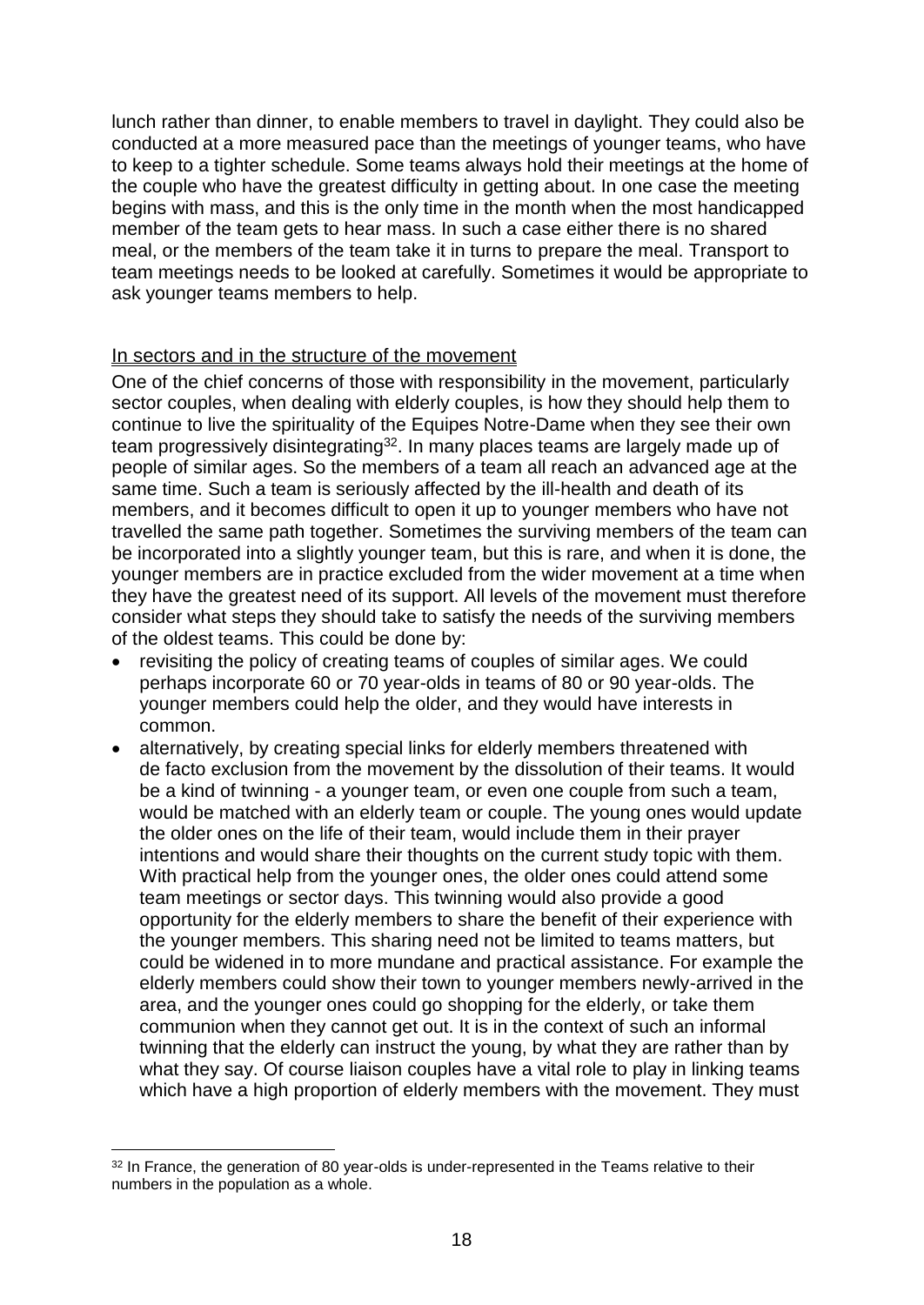lunch rather than dinner, to enable members to travel in daylight. They could also be conducted at a more measured pace than the meetings of younger teams, who have to keep to a tighter schedule. Some teams always hold their meetings at the home of the couple who have the greatest difficulty in getting about. In one case the meeting begins with mass, and this is the only time in the month when the most handicapped member of the team gets to hear mass. In such a case either there is no shared meal, or the members of the team take it in turns to prepare the meal. Transport to team meetings needs to be looked at carefully. Sometimes it would be appropriate to ask younger teams members to help.

#### <span id="page-17-0"></span>In sectors and in the structure of the movement

One of the chief concerns of those with responsibility in the movement, particularly sector couples, when dealing with elderly couples, is how they should help them to continue to live the spirituality of the Equipes Notre-Dame when they see their own team progressively disintegrating<sup>32</sup>. In many places teams are largely made up of people of similar ages. So the members of a team all reach an advanced age at the same time. Such a team is seriously affected by the ill-health and death of its members, and it becomes difficult to open it up to younger members who have not travelled the same path together. Sometimes the surviving members of the team can be incorporated into a slightly younger team, but this is rare, and when it is done, the younger members are in practice excluded from the wider movement at a time when they have the greatest need of its support. All levels of the movement must therefore consider what steps they should take to satisfy the needs of the surviving members of the oldest teams. This could be done by:

- revisiting the policy of creating teams of couples of similar ages. We could perhaps incorporate 60 or 70 year-olds in teams of 80 or 90 year-olds. The younger members could help the older, and they would have interests in common.
- alternatively, by creating special links for elderly members threatened with de facto exclusion from the movement by the dissolution of their teams. It would be a kind of twinning - a younger team, or even one couple from such a team, would be matched with an elderly team or couple. The young ones would update the older ones on the life of their team, would include them in their prayer intentions and would share their thoughts on the current study topic with them. With practical help from the younger ones, the older ones could attend some team meetings or sector days. This twinning would also provide a good opportunity for the elderly members to share the benefit of their experience with the younger members. This sharing need not be limited to teams matters, but could be widened in to more mundane and practical assistance. For example the elderly members could show their town to younger members newly-arrived in the area, and the younger ones could go shopping for the elderly, or take them communion when they cannot get out. It is in the context of such an informal twinning that the elderly can instruct the young, by what they are rather than by what they say. Of course liaison couples have a vital role to play in linking teams which have a high proportion of elderly members with the movement. They must

<sup>&</sup>lt;sup>32</sup> In France, the generation of 80 year-olds is under-represented in the Teams relative to their numbers in the population as a whole.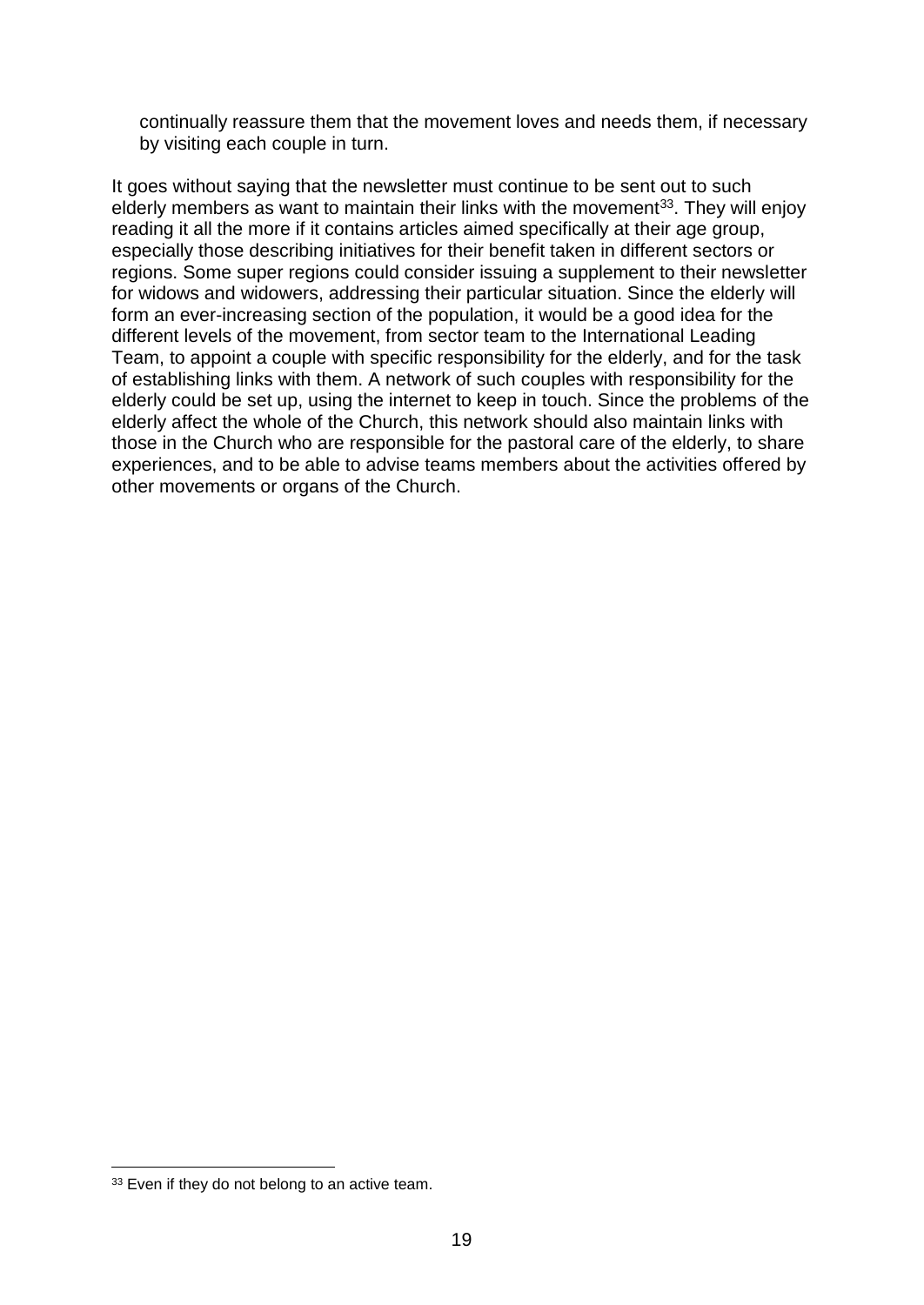<span id="page-18-0"></span>continually reassure them that the movement loves and needs them, if necessary by visiting each couple in turn.

<span id="page-18-1"></span>It goes without saying that the newsletter must continue to be sent out to such elderly members as want to maintain their links with the movement<sup>33</sup>. They will enjoy reading it all the more if it contains articles aimed specifically at their age group, especially those describing initiatives for their benefit taken in different sectors or regions. Some super regions could consider issuing a supplement to their newsletter for widows and widowers, addressing their particular situation. Since the elderly will form an ever-increasing section of the population, it would be a good idea for the different levels of the movement, from sector team to the International Leading Team, to appoint a couple with specific responsibility for the elderly, and for the task of establishing links with them. A network of such couples with responsibility for the elderly could be set up, using the internet to keep in touch. Since the problems of the elderly affect the whole of the Church, this network should also maintain links with those in the Church who are responsible for the pastoral care of the elderly, to share experiences, and to be able to advise teams members about the activities offered by other movements or organs of the Church.

<sup>&</sup>lt;sup>33</sup> Even if they do not belong to an active team.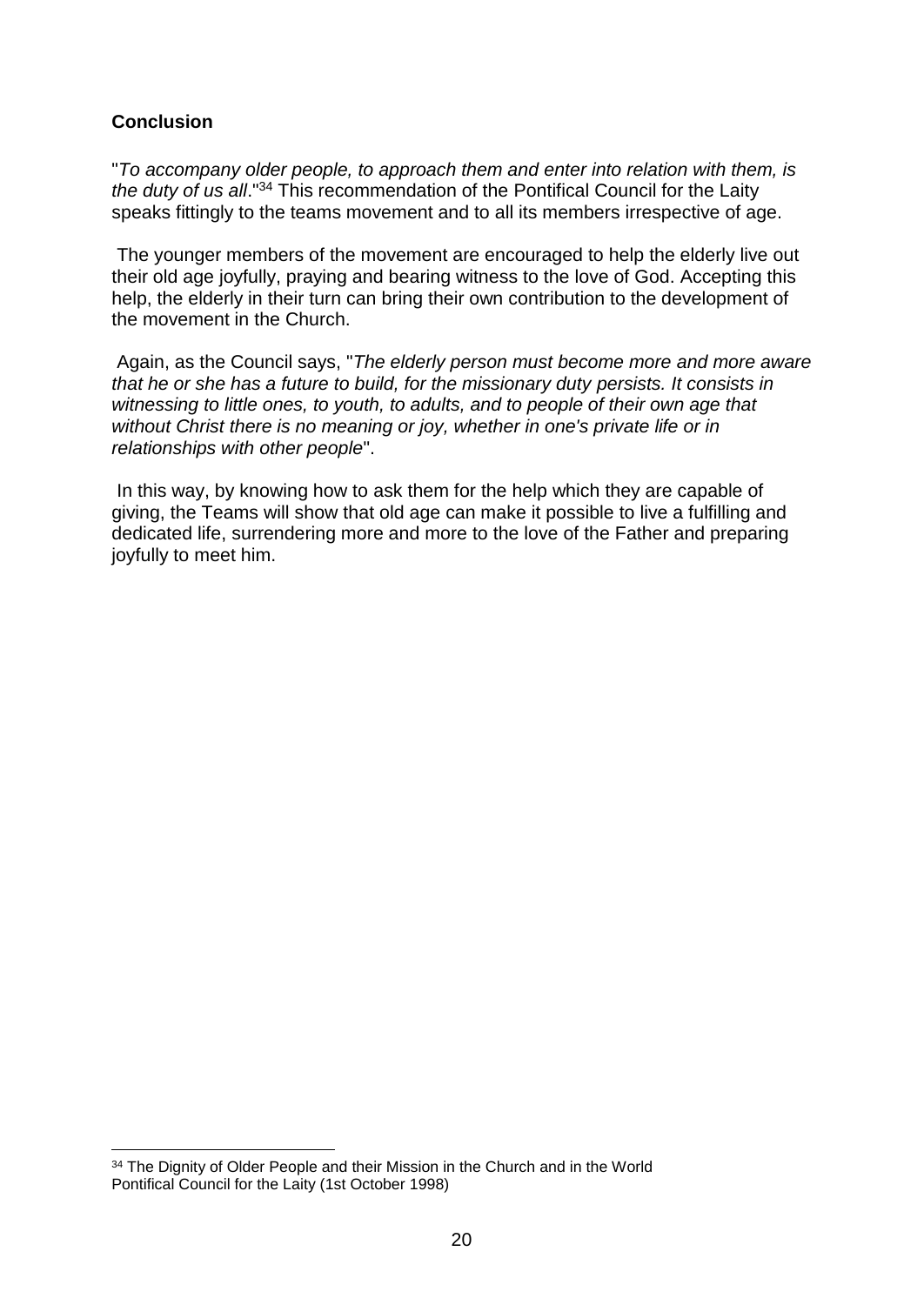## **Conclusion**

1

"*To accompany older people, to approach them and enter into relation with them, is the duty of us all*."<sup>34</sup> This recommendation of the Pontifical Council for the Laity speaks fittingly to the teams movement and to all its members irrespective of age.

The younger members of the movement are encouraged to help the elderly live out their old age joyfully, praying and bearing witness to the love of God. Accepting this help, the elderly in their turn can bring their own contribution to the development of the movement in the Church.

Again, as the Council says, "*The elderly person must become more and more aware that he or she has a future to build, for the missionary duty persists. It consists in witnessing to little ones, to youth, to adults, and to people of their own age that without Christ there is no meaning or joy, whether in one's private life or in relationships with other people*".

In this way, by knowing how to ask them for the help which they are capable of giving, the Teams will show that old age can make it possible to live a fulfilling and dedicated life, surrendering more and more to the love of the Father and preparing joyfully to meet him.

<sup>&</sup>lt;sup>34</sup> The Dignity of Older People and their Mission in the Church and in the World Pontifical Council for the Laity (1st October 1998)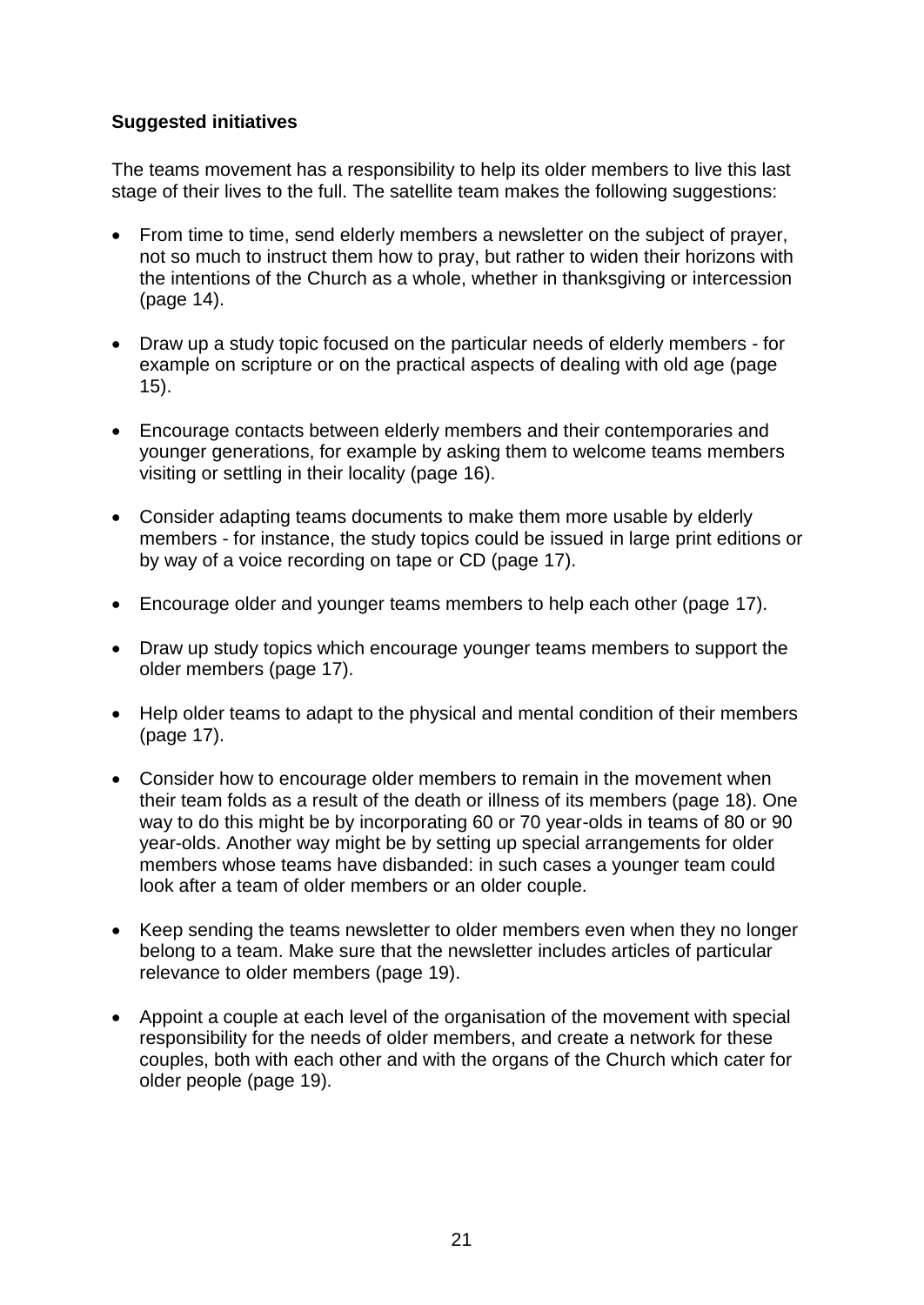## **Suggested initiatives**

The teams movement has a responsibility to help its older members to live this last stage of their lives to the full. The satellite team makes the following suggestions:

- From time to time, send elderly members a newsletter on the subject of prayer, not so much to instruct them how to pray, but rather to widen their horizons with the intentions of the Church as a whole, whether in thanksgiving or intercession (page [14\)](#page-13-0).
- Draw up a study topic focused on the particular needs of elderly members for example on scripture or on the practical aspects of dealing with old age (page [15\)](#page-14-0).
- Encourage contacts between elderly members and their contemporaries and younger generations, for example by asking them to welcome teams members visiting or settling in their locality (page [16\)](#page-15-0).
- Consider adapting teams documents to make them more usable by elderly members - for instance, the study topics could be issued in large print editions or by way of a voice recording on tape or CD (page [17\)](#page-16-0).
- Encourage older and younger teams members to help each other (page [17\)](#page-16-1).
- Draw up study topics which encourage younger teams members to support the older members (page [17\)](#page-16-2).
- Help older teams to adapt to the physical and mental condition of their members (page [17\)](#page-16-3).
- Consider how to encourage older members to remain in the movement when their team folds as a result of the death or illness of its members (page [18\)](#page-17-0). One way to do this might be by incorporating 60 or 70 year-olds in teams of 80 or 90 year-olds. Another way might be by setting up special arrangements for older members whose teams have disbanded: in such cases a younger team could look after a team of older members or an older couple.
- Keep sending the teams newsletter to older members even when they no longer belong to a team. Make sure that the newsletter includes articles of particular relevance to older members (page [19\)](#page-18-0).
- Appoint a couple at each level of the organisation of the movement with special responsibility for the needs of older members, and create a network for these couples, both with each other and with the organs of the Church which cater for older people (page [19\)](#page-18-1).